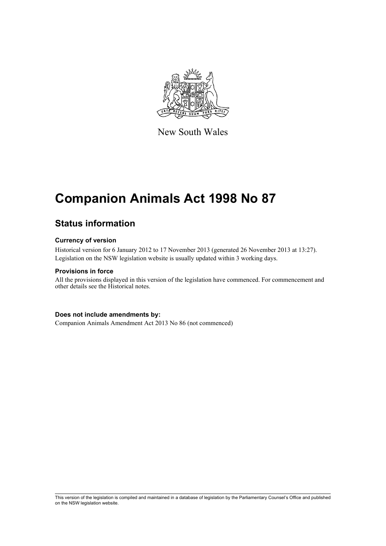

New South Wales

# **Companion Animals Act 1998 No 87**

# **Status information**

# **Currency of version**

Historical version for 6 January 2012 to 17 November 2013 (generated 26 November 2013 at 13:27). Legislation on the NSW legislation website is usually updated within 3 working days.

# **Provisions in force**

All the provisions displayed in this version of the legislation have commenced. For commencement and other details see the Historical notes.

# **Does not include amendments by:**

Companion Animals Amendment Act 2013 No 86 (not commenced)

This version of the legislation is compiled and maintained in a database of legislation by the Parliamentary Counsel's Office and published on the NSW legislation website.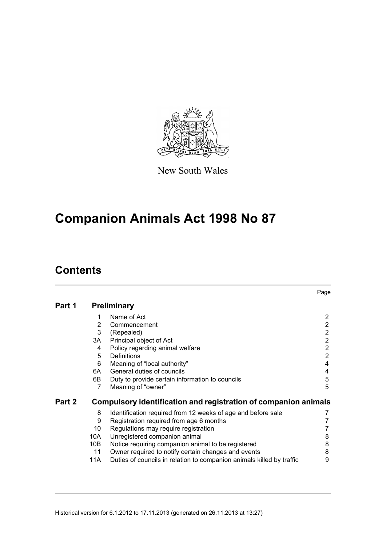

New South Wales

# **Companion Animals Act 1998 No 87**

# **Contents**

|        |     |                                                                       | Page                  |
|--------|-----|-----------------------------------------------------------------------|-----------------------|
| Part 1 |     | <b>Preliminary</b>                                                    |                       |
|        | 1   | Name of Act                                                           | $\mathbf{2}^{\prime}$ |
|        | 2   | Commencement                                                          | $\overline{2}$        |
|        | 3   | (Repealed)                                                            | $\overline{2}$        |
|        | 3A  | Principal object of Act                                               | $\overline{2}$        |
|        | 4   | Policy regarding animal welfare                                       | $\overline{2}$        |
|        | 5   | Definitions                                                           | $\overline{2}$        |
|        | 6   | Meaning of "local authority"                                          | $\overline{4}$        |
|        | 6A  | General duties of councils                                            | 4                     |
|        | 6B  | Duty to provide certain information to councils                       | 5                     |
|        | 7   | Meaning of "owner"                                                    | 5                     |
| Part 2 |     | Compulsory identification and registration of companion animals       |                       |
|        | 8   | Identification required from 12 weeks of age and before sale          | 7                     |
|        | 9   | Registration required from age 6 months                               |                       |
|        | 10  | Regulations may require registration                                  | 7                     |
|        | 10A | Unregistered companion animal                                         | 8                     |
|        | 10B | Notice requiring companion animal to be registered                    | 8                     |
|        | 11  | Owner required to notify certain changes and events                   | 8                     |
|        | 11A | Duties of councils in relation to companion animals killed by traffic | 9                     |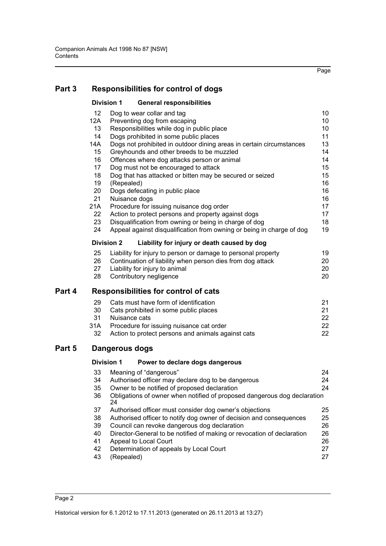Page

# **[Part 3 Responsibilities for control of dogs](#page-15-0)**

|            | <b>Division 1</b> | <b>General responsibilities</b>                                          |    |
|------------|-------------------|--------------------------------------------------------------------------|----|
| 12         |                   | Dog to wear collar and tag                                               | 10 |
| 12A        |                   | Preventing dog from escaping                                             | 10 |
| 13         |                   | Responsibilities while dog in public place                               | 10 |
| 14         |                   | Dogs prohibited in some public places                                    | 11 |
| <b>14A</b> |                   | Dogs not prohibited in outdoor dining areas in certain circumstances     | 13 |
| 15         |                   | Greyhounds and other breeds to be muzzled                                | 14 |
| 16         |                   | Offences where dog attacks person or animal                              | 14 |
| 17         |                   | Dog must not be encouraged to attack                                     | 15 |
| 18         |                   | Dog that has attacked or bitten may be secured or seized                 | 15 |
| 19         | (Repealed)        |                                                                          | 16 |
| 20         |                   | Dogs defecating in public place                                          | 16 |
| 21         |                   | Nuisance dogs                                                            | 16 |
| 21A        |                   | Procedure for issuing nuisance dog order                                 | 17 |
| 22         |                   | Action to protect persons and property against dogs                      | 17 |
| 23         |                   | Disqualification from owning or being in charge of dog                   | 18 |
| 24         |                   | Appeal against disqualification from owning or being in charge of dog    | 19 |
|            | <b>Division 2</b> | Liability for injury or death caused by dog                              |    |
| 25         |                   | Liability for injury to person or damage to personal property            | 19 |
| 26         |                   | Continuation of liability when person dies from dog attack               | 20 |
| 27         |                   | Liability for injury to animal                                           | 20 |
| 28         |                   | Contributory negligence                                                  | 20 |
|            |                   | <b>Responsibilities for control of cats</b>                              |    |
| 29         |                   | Cats must have form of identification                                    | 21 |
| 30         |                   | Cats prohibited in some public places                                    | 21 |
| 31         |                   | Nuisance cats                                                            | 22 |
| 31A        |                   | Procedure for issuing nuisance cat order                                 | 22 |
| 32         |                   | Action to protect persons and animals against cats                       | 22 |
|            | Dangerous dogs    |                                                                          |    |
|            | <b>Division 1</b> | Power to declare dogs dangerous                                          |    |
| 33         |                   | Meaning of "dangerous"                                                   | 24 |
| 34         |                   | Authorised officer may declare dog to be dangerous                       | 24 |
| 35         |                   | Owner to be notified of proposed declaration                             | 24 |
| 36         |                   | Obligations of owner when notified of proposed dangerous dog declaration |    |
|            | 24.               |                                                                          |    |

|    | 24                                                                     |    |
|----|------------------------------------------------------------------------|----|
| 37 | Authorised officer must consider dog owner's objections                | 25 |
| 38 | Authorised officer to notify dog owner of decision and consequences    | 25 |
| 39 | Council can revoke dangerous dog declaration                           | 26 |
| 40 | Director-General to be notified of making or revocation of declaration | 26 |
| 41 | Appeal to Local Court                                                  | 26 |
| 42 | Determination of appeals by Local Court                                | 27 |
| 43 | (Repealed)                                                             | 27 |

**Part 4** 

Part 5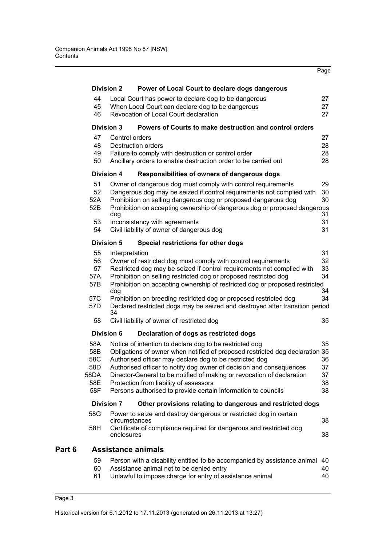|        |                   |                |                                                                                                                                               | Page     |
|--------|-------------------|----------------|-----------------------------------------------------------------------------------------------------------------------------------------------|----------|
|        | <b>Division 2</b> |                | Power of Local Court to declare dogs dangerous                                                                                                |          |
|        | 44                |                | Local Court has power to declare dog to be dangerous                                                                                          | 27       |
|        | 45                |                | When Local Court can declare dog to be dangerous                                                                                              | 27       |
|        | 46                |                | Revocation of Local Court declaration                                                                                                         | 27       |
|        | <b>Division 3</b> |                | Powers of Courts to make destruction and control orders                                                                                       |          |
|        | 47                | Control orders |                                                                                                                                               | 27       |
|        | 48                |                | <b>Destruction orders</b>                                                                                                                     | 28       |
|        | 49<br>50          |                | Failure to comply with destruction or control order<br>Ancillary orders to enable destruction order to be carried out                         | 28<br>28 |
|        | <b>Division 4</b> |                | Responsibilities of owners of dangerous dogs                                                                                                  |          |
|        | 51                |                | Owner of dangerous dog must comply with control requirements                                                                                  | 29       |
|        | 52                |                | Dangerous dog may be seized if control requirements not complied with                                                                         | 30       |
|        | 52A               |                | Prohibition on selling dangerous dog or proposed dangerous dog                                                                                | 30       |
|        | 52B               |                | Prohibition on accepting ownership of dangerous dog or proposed dangerous                                                                     |          |
|        | 53                | dog            | Inconsistency with agreements                                                                                                                 | 31<br>31 |
|        | 54                |                | Civil liability of owner of dangerous dog                                                                                                     | 31       |
|        | <b>Division 5</b> |                | Special restrictions for other dogs                                                                                                           |          |
|        | 55                | Interpretation |                                                                                                                                               | 31       |
|        | 56                |                | Owner of restricted dog must comply with control requirements                                                                                 | 32       |
|        | 57                |                | Restricted dog may be seized if control requirements not complied with                                                                        | 33       |
|        | 57A               |                | Prohibition on selling restricted dog or proposed restricted dog                                                                              | 34       |
|        | 57B               | dog            | Prohibition on accepting ownership of restricted dog or proposed restricted                                                                   | 34       |
|        | 57C               |                | Prohibition on breeding restricted dog or proposed restricted dog                                                                             | 34       |
|        | 57D               | 34             | Declared restricted dogs may be seized and destroyed after transition period                                                                  |          |
|        | 58                |                | Civil liability of owner of restricted dog                                                                                                    | 35       |
|        | <b>Division 6</b> |                | Declaration of dogs as restricted dogs                                                                                                        |          |
|        | 58A               |                | Notice of intention to declare dog to be restricted dog                                                                                       | 35       |
|        | 58B               |                | Obligations of owner when notified of proposed restricted dog declaration 35                                                                  |          |
|        | 58C               |                | Authorised officer may declare dog to be restricted dog                                                                                       | 36       |
|        | 58D<br>58DA       |                | Authorised officer to notify dog owner of decision and consequences<br>Director-General to be notified of making or revocation of declaration | 37       |
|        | 58E               |                | Protection from liability of assessors                                                                                                        | 37<br>38 |
|        | 58F               |                | Persons authorised to provide certain information to councils                                                                                 | 38       |
|        | <b>Division 7</b> |                | Other provisions relating to dangerous and restricted dogs                                                                                    |          |
|        | 58G               |                | Power to seize and destroy dangerous or restricted dog in certain                                                                             |          |
|        | 58H               | circumstances  | Certificate of compliance required for dangerous and restricted dog                                                                           | 38       |
|        |                   | enclosures     |                                                                                                                                               | 38       |
| Part 6 |                   |                | <b>Assistance animals</b>                                                                                                                     |          |
|        | 59                |                | Person with a disability entitled to be accompanied by assistance animal                                                                      | 40       |
|        | 60                |                | Assistance animal not to be denied entry                                                                                                      | 40       |
|        | 61                |                | Unlawful to impose charge for entry of assistance animal                                                                                      | 40       |
|        |                   |                |                                                                                                                                               |          |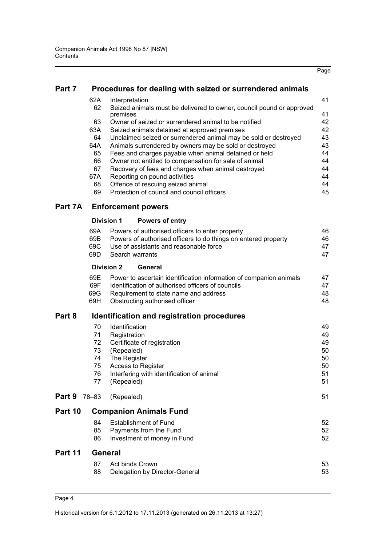| Part 7 |  |  |  | Procedures for dealing with seized or surrendered animals |  |
|--------|--|--|--|-----------------------------------------------------------|--|
|--------|--|--|--|-----------------------------------------------------------|--|

| 62A | Interpretation                                                       | 41 |
|-----|----------------------------------------------------------------------|----|
| 62  | Seized animals must be delivered to owner, council pound or approved |    |
|     | premises                                                             | 41 |
| 63  | Owner of seized or surrendered animal to be notified                 | 42 |
| 63A | Seized animals detained at approved premises                         | 42 |
| 64  | Unclaimed seized or surrendered animal may be sold or destroyed      | 43 |
| 64A | Animals surrendered by owners may be sold or destroyed               | 43 |
| 65  | Fees and charges payable when animal detained or held                | 44 |
| 66  | Owner not entitled to compensation for sale of animal                | 44 |
| 67  | Recovery of fees and charges when animal destroyed                   | 44 |
| 67A | Reporting on pound activities                                        | 44 |
| 68  | Offence of rescuing seized animal                                    | 44 |
| 69  | Protection of council and council officers                           | 45 |
|     |                                                                      |    |

# **[Part 7A Enforcement powers](#page-51-0)**

| Division 2 | General                                                            |    |
|------------|--------------------------------------------------------------------|----|
|            | 69D Search warrants                                                | 47 |
|            | 69C Use of assistants and reasonable force                         | 47 |
|            | 69B Powers of authorised officers to do things on entered property | 46 |
|            | 69A Powers of authorised officers to enter property                | 46 |

| 69E - | Power to ascertain identification information of companion animals | 47 |
|-------|--------------------------------------------------------------------|----|
| 69F   | Identification of authorised officers of councils                  | 47 |
| 69G - | Requirement to state name and address                              | 48 |
|       | 69H Obstructing authorised officer                                 | 48 |
|       |                                                                    |    |

# **[Part 8 Identification and registration procedures](#page-54-0)**

|         | 70    | <b>Identification</b>                     | 49 |
|---------|-------|-------------------------------------------|----|
|         | 71    | Registration                              | 49 |
|         | 72    | Certificate of registration               | 49 |
|         | 73    | (Repealed)                                | 50 |
|         | 74    | The Register                              | 50 |
|         | 75    | <b>Access to Register</b>                 | 50 |
|         | 76    | Interfering with identification of animal | 51 |
|         | 77    | (Repealed)                                | 51 |
| Part 9  | 78-83 | (Repealed)                                | 51 |
| Part 10 |       | <b>Companion Animals Fund</b>             |    |
|         | 84    | <b>Establishment of Fund</b>              | 52 |
|         | 85    | Payments from the Fund                    | 52 |
|         | 86    | Investment of money in Fund               | 52 |
| Part 11 |       | <b>General</b>                            |    |
|         | 87    | Act binds Crown                           | 53 |
|         | 88    | Delegation by Director-General            | 53 |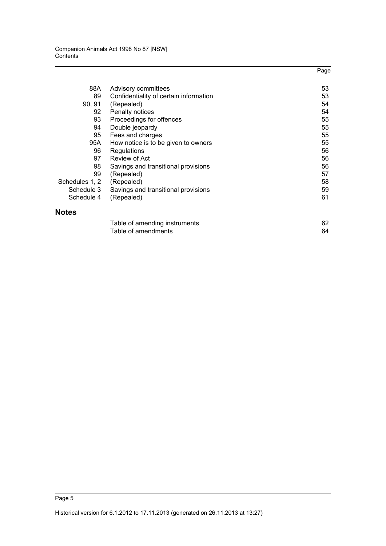|                |                                        | Page |
|----------------|----------------------------------------|------|
| 88A            | Advisory committees                    | 53   |
| 89             | Confidentiality of certain information | 53   |
| 90, 91         | (Repealed)                             | 54   |
| 92             | Penalty notices                        | 54   |
| 93             | Proceedings for offences               | 55   |
| 94             | Double jeopardy                        | 55   |
| 95             | Fees and charges                       | 55   |
| 95A            | How notice is to be given to owners    | 55   |
| 96             | Regulations                            | 56   |
| 97             | Review of Act                          | 56   |
| 98             | Savings and transitional provisions    | 56   |
| 99             | (Repealed)                             | 57   |
| Schedules 1, 2 | (Repealed)                             | 58   |
| Schedule 3     | Savings and transitional provisions    | 59   |
| Schedule 4     | (Repealed)                             | 61   |
| <b>Notes</b>   |                                        |      |

| Table of amending instruments |    |
|-------------------------------|----|
| Table of amendments           | 64 |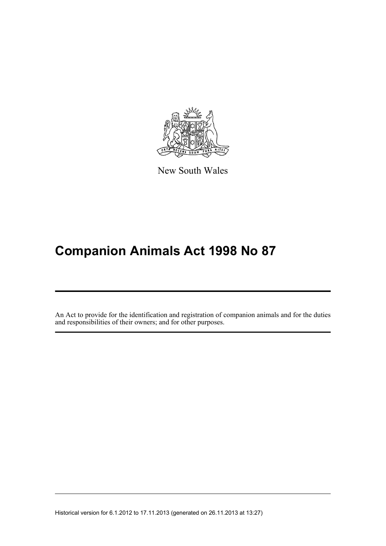

New South Wales

# **Companion Animals Act 1998 No 87**

An Act to provide for the identification and registration of companion animals and for the duties and responsibilities of their owners; and for other purposes.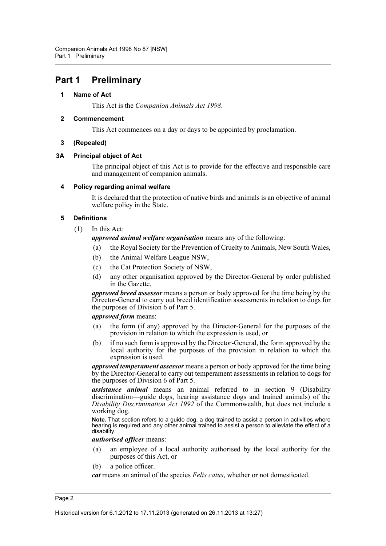# <span id="page-7-1"></span><span id="page-7-0"></span>**Part 1 Preliminary**

# **1 Name of Act**

This Act is the *Companion Animals Act 1998*.

# <span id="page-7-2"></span>**2 Commencement**

This Act commences on a day or days to be appointed by proclamation.

# **3 (Repealed)**

# <span id="page-7-4"></span><span id="page-7-3"></span>**3A Principal object of Act**

The principal object of this Act is to provide for the effective and responsible care and management of companion animals.

# <span id="page-7-5"></span>**4 Policy regarding animal welfare**

It is declared that the protection of native birds and animals is an objective of animal welfare policy in the State.

# <span id="page-7-6"></span>**5 Definitions**

(1) In this Act:

# *approved animal welfare organisation* means any of the following:

(a) the Royal Society for the Prevention of Cruelty to Animals, New South Wales,

- (b) the Animal Welfare League NSW,
- (c) the Cat Protection Society of NSW,
- (d) any other organisation approved by the Director-General by order published in the Gazette.

*approved breed assessor* means a person or body approved for the time being by the Director-General to carry out breed identification assessments in relation to dogs for the purposes of Division 6 of Part 5.

# *approved form* means:

- (a) the form (if any) approved by the Director-General for the purposes of the provision in relation to which the expression is used, or
- (b) if no such form is approved by the Director-General, the form approved by the local authority for the purposes of the provision in relation to which the expression is used.

*approved temperament assessor* means a person or body approved for the time being by the Director-General to carry out temperament assessments in relation to dogs for the purposes of Division 6 of Part 5.

*assistance animal* means an animal referred to in section 9 (Disability discrimination—guide dogs, hearing assistance dogs and trained animals) of the *Disability Discrimination Act 1992* of the Commonwealth, but does not include a working dog.

**Note.** That section refers to a guide dog, a dog trained to assist a person in activities where hearing is required and any other animal trained to assist a person to alleviate the effect of a disability.

# *authorised officer* means:

- (a) an employee of a local authority authorised by the local authority for the purposes of this Act, or
- (b) a police officer.

*cat* means an animal of the species *Felis catus*, whether or not domesticated.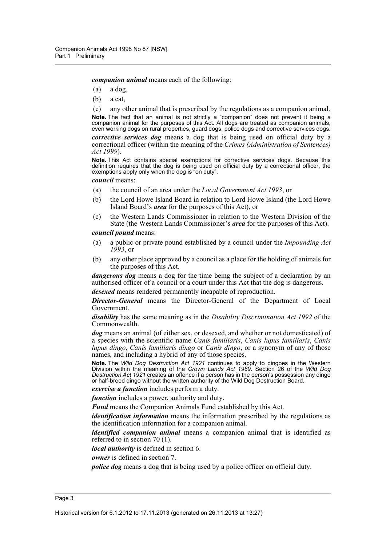*companion animal* means each of the following:

- (a) a dog,
- (b) a cat,

(c) any other animal that is prescribed by the regulations as a companion animal. **Note.** The fact that an animal is not strictly a "companion" does not prevent it being a companion animal for the purposes of this Act. All dogs are treated as companion animals, even working dogs on rural properties, guard dogs, police dogs and corrective services dogs.

*corrective services dog* means a dog that is being used on official duty by a correctional officer (within the meaning of the *Crimes (Administration of Sentences) Act 1999*).

**Note.** This Act contains special exemptions for corrective services dogs. Because this definition requires that the dog is being used on official duty by a correctional officer, the exemptions apply only when the dog is "on duty".

*council* means:

- (a) the council of an area under the *Local Government Act 1993*, or
- (b) the Lord Howe Island Board in relation to Lord Howe Island (the Lord Howe Island Board's *area* for the purposes of this Act), or
- (c) the Western Lands Commissioner in relation to the Western Division of the State (the Western Lands Commissioner's *area* for the purposes of this Act).

*council pound* means:

- (a) a public or private pound established by a council under the *Impounding Act 1993*, or
- (b) any other place approved by a council as a place for the holding of animals for the purposes of this Act.

*dangerous dog* means a dog for the time being the subject of a declaration by an authorised officer of a council or a court under this Act that the dog is dangerous.

*desexed* means rendered permanently incapable of reproduction.

*Director-General* means the Director-General of the Department of Local Government.

*disability* has the same meaning as in the *Disability Discrimination Act 1992* of the Commonwealth.

*dog* means an animal (of either sex, or desexed, and whether or not domesticated) of a species with the scientific name *Canis familiaris*, *Canis lupus familiaris*, *Canis lupus dingo*, *Canis familiaris dingo* or *Canis dingo*, or a synonym of any of those names, and including a hybrid of any of those species.

**Note.** The *Wild Dog Destruction Act 1921* continues to apply to dingoes in the Western Division within the meaning of the *Crown Lands Act 1989*. Section 26 of the *Wild Dog Destruction Act 1921* creates an offence if a person has in the person's possession any dingo or half-breed dingo without the written authority of the Wild Dog Destruction Board.

*exercise a function* includes perform a duty.

*function* includes a power, authority and duty.

*Fund* means the Companion Animals Fund established by this Act.

*identification information* means the information prescribed by the regulations as the identification information for a companion animal.

*identified companion animal* means a companion animal that is identified as referred to in section 70 (1).

*local authority* is defined in section 6.

*owner* is defined in section 7.

*police dog* means a dog that is being used by a police officer on official duty.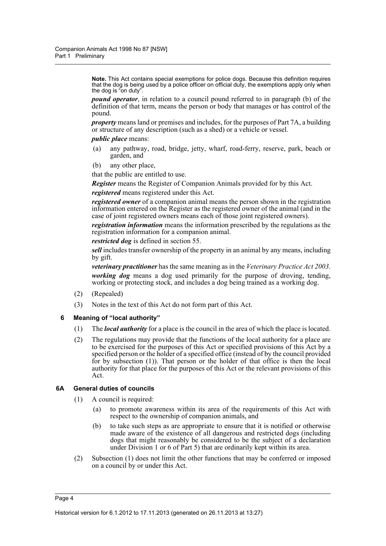**Note.** This Act contains special exemptions for police dogs. Because this definition requires that the dog is being used by a police officer on official duty, the exemptions apply only when the dog is "on duty".

*pound operator*, in relation to a council pound referred to in paragraph (b) of the definition of that term, means the person or body that manages or has control of the pound.

*property* means land or premises and includes, for the purposes of Part 7A, a building or structure of any description (such as a shed) or a vehicle or vessel.

# *public place* means:

- (a) any pathway, road, bridge, jetty, wharf, road-ferry, reserve, park, beach or garden, and
- (b) any other place,

that the public are entitled to use.

*Register* means the Register of Companion Animals provided for by this Act.

*registered* means registered under this Act.

*registered owner* of a companion animal means the person shown in the registration information entered on the Register as the registered owner of the animal (and in the case of joint registered owners means each of those joint registered owners).

*registration information* means the information prescribed by the regulations as the registration information for a companion animal.

*restricted dog* is defined in section 55.

*sell* includes transfer ownership of the property in an animal by any means, including by gift.

*veterinary practitioner* has the same meaning as in the *Veterinary Practice Act 2003*. *working dog* means a dog used primarily for the purpose of droving, tending, working or protecting stock, and includes a dog being trained as a working dog.

- (2) (Repealed)
- (3) Notes in the text of this Act do not form part of this Act.

#### <span id="page-9-0"></span>**6 Meaning of "local authority"**

- (1) The *local authority* for a place is the council in the area of which the place is located.
- (2) The regulations may provide that the functions of the local authority for a place are to be exercised for the purposes of this Act or specified provisions of this Act by a specified person or the holder of a specified office (instead of by the council provided for by subsection  $(1)$ ). That person or the holder of that office is then the local authority for that place for the purposes of this Act or the relevant provisions of this Act.

# <span id="page-9-1"></span>**6A General duties of councils**

- (1) A council is required:
	- (a) to promote awareness within its area of the requirements of this Act with respect to the ownership of companion animals, and
	- (b) to take such steps as are appropriate to ensure that it is notified or otherwise made aware of the existence of all dangerous and restricted dogs (including dogs that might reasonably be considered to be the subject of a declaration under Division 1 or 6 of Part 5) that are ordinarily kept within its area.
- (2) Subsection (1) does not limit the other functions that may be conferred or imposed on a council by or under this Act.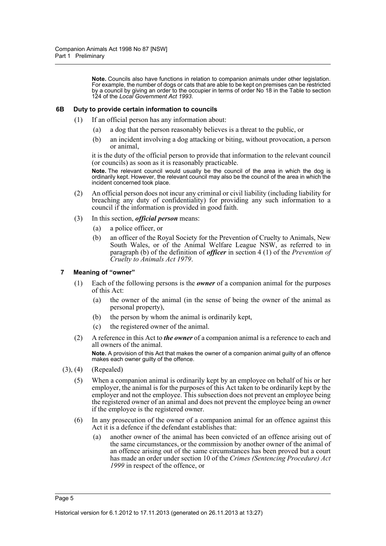**Note.** Councils also have functions in relation to companion animals under other legislation. For example, the number of dogs or cats that are able to be kept on premises can be restricted by a council by giving an order to the occupier in terms of order No 18 in the Table to section 124 of the *Local Government Act 1993*.

#### <span id="page-10-0"></span>**6B Duty to provide certain information to councils**

- (1) If an official person has any information about:
	- (a) a dog that the person reasonably believes is a threat to the public, or
	- (b) an incident involving a dog attacking or biting, without provocation, a person or animal,

it is the duty of the official person to provide that information to the relevant council (or councils) as soon as it is reasonably practicable.

**Note.** The relevant council would usually be the council of the area in which the dog is ordinarily kept. However, the relevant council may also be the council of the area in which the incident concerned took place.

- (2) An official person does not incur any criminal or civil liability (including liability for breaching any duty of confidentiality) for providing any such information to a council if the information is provided in good faith.
- (3) In this section, *official person* means:
	- (a) a police officer, or
	- (b) an officer of the Royal Society for the Prevention of Cruelty to Animals, New South Wales, or of the Animal Welfare League NSW, as referred to in paragraph (b) of the definition of *officer* in section 4 (1) of the *Prevention of Cruelty to Animals Act 1979*.

# <span id="page-10-1"></span>**7 Meaning of "owner"**

- (1) Each of the following persons is the *owner* of a companion animal for the purposes of this Act:
	- (a) the owner of the animal (in the sense of being the owner of the animal as personal property),
	- (b) the person by whom the animal is ordinarily kept,
	- (c) the registered owner of the animal.
- (2) A reference in this Act to *the owner* of a companion animal is a reference to each and all owners of the animal. **Note.** A provision of this Act that makes the owner of a companion animal guilty of an offence makes each owner guilty of the offence.
- (3), (4) (Repealed)
	- (5) When a companion animal is ordinarily kept by an employee on behalf of his or her employer, the animal is for the purposes of this Act taken to be ordinarily kept by the employer and not the employee. This subsection does not prevent an employee being the registered owner of an animal and does not prevent the employee being an owner if the employee is the registered owner.
	- (6) In any prosecution of the owner of a companion animal for an offence against this Act it is a defence if the defendant establishes that:
		- (a) another owner of the animal has been convicted of an offence arising out of the same circumstances, or the commission by another owner of the animal of an offence arising out of the same circumstances has been proved but a court has made an order under section 10 of the *Crimes (Sentencing Procedure) Act 1999* in respect of the offence, or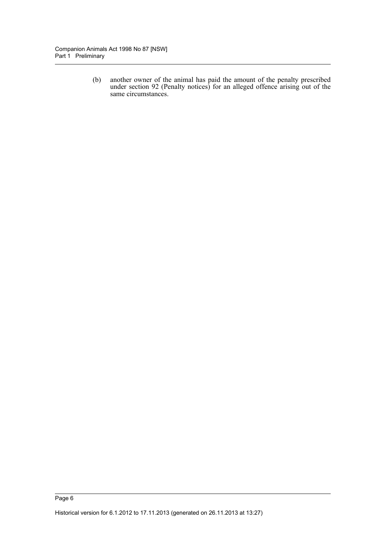(b) another owner of the animal has paid the amount of the penalty prescribed under section 92 (Penalty notices) for an alleged offence arising out of the same circumstances.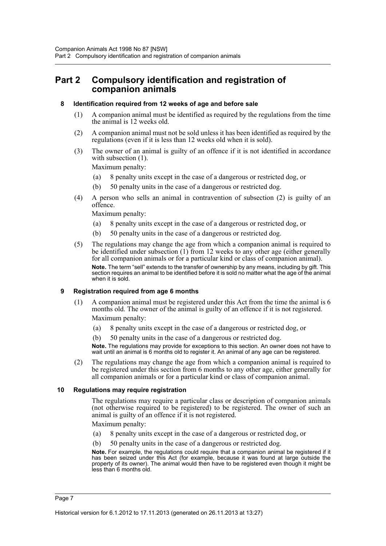# <span id="page-12-0"></span>**Part 2 Compulsory identification and registration of companion animals**

# <span id="page-12-1"></span>**8 Identification required from 12 weeks of age and before sale**

- (1) A companion animal must be identified as required by the regulations from the time the animal is 12 weeks old.
- (2) A companion animal must not be sold unless it has been identified as required by the regulations (even if it is less than 12 weeks old when it is sold).
- (3) The owner of an animal is guilty of an offence if it is not identified in accordance with subsection  $(1)$ .

Maximum penalty:

- (a) 8 penalty units except in the case of a dangerous or restricted dog, or
- (b) 50 penalty units in the case of a dangerous or restricted dog.
- (4) A person who sells an animal in contravention of subsection (2) is guilty of an offence.

Maximum penalty:

- (a) 8 penalty units except in the case of a dangerous or restricted dog, or
- (b) 50 penalty units in the case of a dangerous or restricted dog.
- (5) The regulations may change the age from which a companion animal is required to be identified under subsection (1) from 12 weeks to any other age (either generally for all companion animals or for a particular kind or class of companion animal). **Note.** The term "sell" extends to the transfer of ownership by any means, including by gift. This section requires an animal to be identified before it is sold no matter what the age of the animal when it is sold.

# <span id="page-12-2"></span>**9 Registration required from age 6 months**

- (1) A companion animal must be registered under this Act from the time the animal is 6 months old. The owner of the animal is guilty of an offence if it is not registered. Maximum penalty:
	- (a) 8 penalty units except in the case of a dangerous or restricted dog, or
	- (b) 50 penalty units in the case of a dangerous or restricted dog.

**Note.** The regulations may provide for exceptions to this section. An owner does not have to wait until an animal is 6 months old to register it. An animal of any age can be registered.

(2) The regulations may change the age from which a companion animal is required to be registered under this section from 6 months to any other age, either generally for all companion animals or for a particular kind or class of companion animal.

# <span id="page-12-3"></span>**10 Regulations may require registration**

The regulations may require a particular class or description of companion animals (not otherwise required to be registered) to be registered. The owner of such an animal is guilty of an offence if it is not registered.

Maximum penalty:

- (a) 8 penalty units except in the case of a dangerous or restricted dog, or
- (b) 50 penalty units in the case of a dangerous or restricted dog.

**Note.** For example, the regulations could require that a companion animal be registered if it has been seized under this Act (for example, because it was found at large outside the property of its owner). The animal would then have to be registered even though it might be less than 6 months old.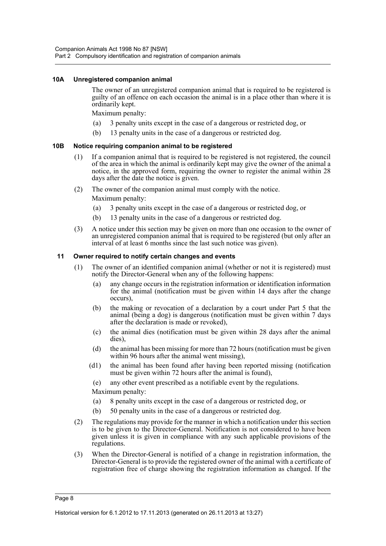#### <span id="page-13-0"></span>**10A Unregistered companion animal**

The owner of an unregistered companion animal that is required to be registered is guilty of an offence on each occasion the animal is in a place other than where it is ordinarily kept.

Maximum penalty:

- (a) 3 penalty units except in the case of a dangerous or restricted dog, or
- (b) 13 penalty units in the case of a dangerous or restricted dog.

#### <span id="page-13-1"></span>**10B Notice requiring companion animal to be registered**

- (1) If a companion animal that is required to be registered is not registered, the council of the area in which the animal is ordinarily kept may give the owner of the animal a notice, in the approved form, requiring the owner to register the animal within 28 days after the date the notice is given.
- (2) The owner of the companion animal must comply with the notice.

Maximum penalty:

- (a) 3 penalty units except in the case of a dangerous or restricted dog, or
- (b) 13 penalty units in the case of a dangerous or restricted dog.
- (3) A notice under this section may be given on more than one occasion to the owner of an unregistered companion animal that is required to be registered (but only after an interval of at least 6 months since the last such notice was given).

#### <span id="page-13-2"></span>**11 Owner required to notify certain changes and events**

- (1) The owner of an identified companion animal (whether or not it is registered) must notify the Director-General when any of the following happens:
	- (a) any change occurs in the registration information or identification information for the animal (notification must be given within 14 days after the change occurs),
	- (b) the making or revocation of a declaration by a court under Part 5 that the animal (being a dog) is dangerous (notification must be given within 7 days after the declaration is made or revoked),
	- (c) the animal dies (notification must be given within 28 days after the animal dies),
	- (d) the animal has been missing for more than 72 hours (notification must be given within 96 hours after the animal went missing),
	- (d1) the animal has been found after having been reported missing (notification must be given within 72 hours after the animal is found),
		- (e) any other event prescribed as a notifiable event by the regulations.

Maximum penalty:

- (a) 8 penalty units except in the case of a dangerous or restricted dog, or
- (b) 50 penalty units in the case of a dangerous or restricted dog.
- (2) The regulations may provide for the manner in which a notification under this section is to be given to the Director-General. Notification is not considered to have been given unless it is given in compliance with any such applicable provisions of the regulations.
- (3) When the Director-General is notified of a change in registration information, the Director-General is to provide the registered owner of the animal with a certificate of registration free of charge showing the registration information as changed. If the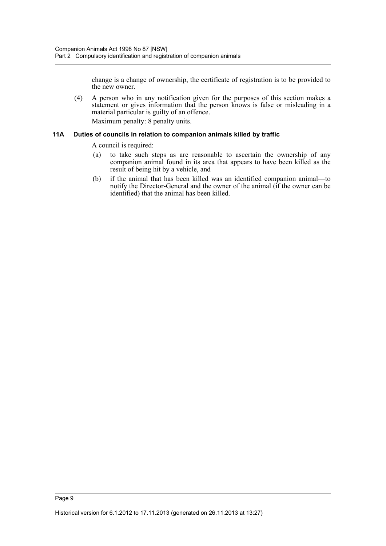change is a change of ownership, the certificate of registration is to be provided to the new owner.

(4) A person who in any notification given for the purposes of this section makes a statement or gives information that the person knows is false or misleading in a material particular is guilty of an offence.

Maximum penalty: 8 penalty units.

#### <span id="page-14-0"></span>**11A Duties of councils in relation to companion animals killed by traffic**

A council is required:

- (a) to take such steps as are reasonable to ascertain the ownership of any companion animal found in its area that appears to have been killed as the result of being hit by a vehicle, and
- (b) if the animal that has been killed was an identified companion animal—to notify the Director-General and the owner of the animal (if the owner can be identified) that the animal has been killed.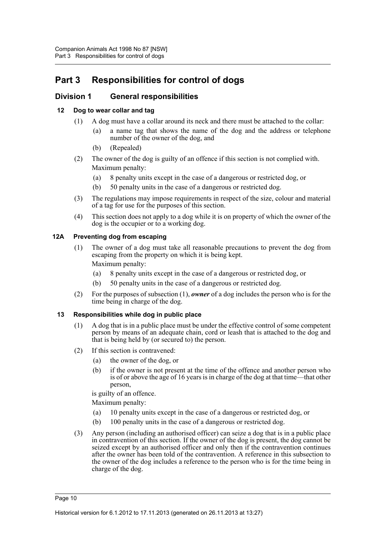# <span id="page-15-0"></span>**Part 3 Responsibilities for control of dogs**

# <span id="page-15-1"></span>**Division 1 General responsibilities**

# <span id="page-15-2"></span>**12 Dog to wear collar and tag**

- (1) A dog must have a collar around its neck and there must be attached to the collar:
	- (a) a name tag that shows the name of the dog and the address or telephone number of the owner of the dog, and
	- (b) (Repealed)
- (2) The owner of the dog is guilty of an offence if this section is not complied with. Maximum penalty:
	- (a) 8 penalty units except in the case of a dangerous or restricted dog, or
	- (b) 50 penalty units in the case of a dangerous or restricted dog.
- (3) The regulations may impose requirements in respect of the size, colour and material of a tag for use for the purposes of this section.
- (4) This section does not apply to a dog while it is on property of which the owner of the dog is the occupier or to a working dog.

# <span id="page-15-3"></span>**12A Preventing dog from escaping**

- (1) The owner of a dog must take all reasonable precautions to prevent the dog from escaping from the property on which it is being kept. Maximum penalty:
	- (a) 8 penalty units except in the case of a dangerous or restricted dog, or
	- (b) 50 penalty units in the case of a dangerous or restricted dog.
- (2) For the purposes of subsection (1), *owner* of a dog includes the person who is for the time being in charge of the dog.

# <span id="page-15-4"></span>**13 Responsibilities while dog in public place**

- (1) A dog that is in a public place must be under the effective control of some competent person by means of an adequate chain, cord or leash that is attached to the dog and that is being held by (or secured to) the person.
- (2) If this section is contravened:
	- (a) the owner of the dog, or
	- (b) if the owner is not present at the time of the offence and another person who is of or above the age of 16 years is in charge of the dog at that time—that other person,

is guilty of an offence.

Maximum penalty:

- (a) 10 penalty units except in the case of a dangerous or restricted dog, or
- (b) 100 penalty units in the case of a dangerous or restricted dog.
- (3) Any person (including an authorised officer) can seize a dog that is in a public place in contravention of this section. If the owner of the dog is present, the dog cannot be seized except by an authorised officer and only then if the contravention continues after the owner has been told of the contravention. A reference in this subsection to the owner of the dog includes a reference to the person who is for the time being in charge of the dog.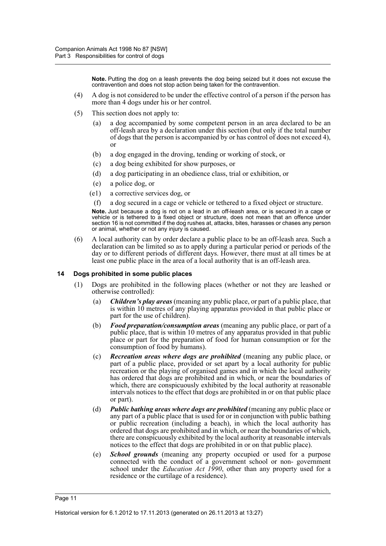**Note.** Putting the dog on a leash prevents the dog being seized but it does not excuse the contravention and does not stop action being taken for the contravention.

- (4) A dog is not considered to be under the effective control of a person if the person has more than 4 dogs under his or her control.
- (5) This section does not apply to:
	- (a) a dog accompanied by some competent person in an area declared to be an off-leash area by a declaration under this section (but only if the total number of dogs that the person is accompanied by or has control of does not exceed 4), or
	- (b) a dog engaged in the droving, tending or working of stock, or
	- (c) a dog being exhibited for show purposes, or
	- (d) a dog participating in an obedience class, trial or exhibition, or
	- (e) a police dog, or
	- (e1) a corrective services dog, or

(f) a dog secured in a cage or vehicle or tethered to a fixed object or structure.

**Note.** Just because a dog is not on a lead in an off-leash area, or is secured in a cage or vehicle or is tethered to a fixed object or structure, does not mean that an offence under section 16 is not committed if the dog rushes at, attacks, bites, harasses or chases any person or animal, whether or not any injury is caused.

(6) A local authority can by order declare a public place to be an off-leash area. Such a declaration can be limited so as to apply during a particular period or periods of the day or to different periods of different days. However, there must at all times be at least one public place in the area of a local authority that is an off-leash area.

#### <span id="page-16-0"></span>**14 Dogs prohibited in some public places**

- (1) Dogs are prohibited in the following places (whether or not they are leashed or otherwise controlled):
	- (a) *Children's play areas* (meaning any public place, or part of a public place, that is within 10 metres of any playing apparatus provided in that public place or part for the use of children).
	- (b) *Food preparation/consumption areas* (meaning any public place, or part of a public place, that is within 10 metres of any apparatus provided in that public place or part for the preparation of food for human consumption or for the consumption of food by humans).
	- (c) *Recreation areas where dogs are prohibited* (meaning any public place, or part of a public place, provided or set apart by a local authority for public recreation or the playing of organised games and in which the local authority has ordered that dogs are prohibited and in which, or near the boundaries of which, there are conspicuously exhibited by the local authority at reasonable intervals notices to the effect that dogs are prohibited in or on that public place or part).
	- (d) *Public bathing areas where dogs are prohibited* (meaning any public place or any part of a public place that is used for or in conjunction with public bathing or public recreation (including a beach), in which the local authority has ordered that dogs are prohibited and in which, or near the boundaries of which, there are conspicuously exhibited by the local authority at reasonable intervals notices to the effect that dogs are prohibited in or on that public place).
	- (e) *School grounds* (meaning any property occupied or used for a purpose connected with the conduct of a government school or non- government school under the *Education Act 1990*, other than any property used for a residence or the curtilage of a residence).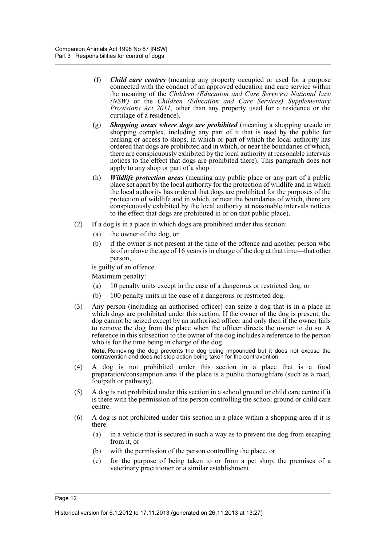- (f) *Child care centres* (meaning any property occupied or used for a purpose connected with the conduct of an approved education and care service within the meaning of the *Children (Education and Care Services) National Law (NSW)* or the *Children (Education and Care Services) Supplementary Provisions Act 2011*, other than any property used for a residence or the curtilage of a residence).
- (g) *Shopping areas where dogs are prohibited* (meaning a shopping arcade or shopping complex, including any part of it that is used by the public for parking or access to shops, in which or part of which the local authority has ordered that dogs are prohibited and in which, or near the boundaries of which, there are conspicuously exhibited by the local authority at reasonable intervals notices to the effect that dogs are prohibited there). This paragraph does not apply to any shop or part of a shop.
- (h) *Wildlife protection areas* (meaning any public place or any part of a public place set apart by the local authority for the protection of wildlife and in which the local authority has ordered that dogs are prohibited for the purposes of the protection of wildlife and in which, or near the boundaries of which, there are conspicuously exhibited by the local authority at reasonable intervals notices to the effect that dogs are prohibited in or on that public place).
- (2) If a dog is in a place in which dogs are prohibited under this section:
	- (a) the owner of the dog, or
	- (b) if the owner is not present at the time of the offence and another person who is of or above the age of 16 years is in charge of the dog at that time—that other person,

is guilty of an offence.

Maximum penalty:

- (a) 10 penalty units except in the case of a dangerous or restricted dog, or
- (b) 100 penalty units in the case of a dangerous or restricted dog.
- (3) Any person (including an authorised officer) can seize a dog that is in a place in which dogs are prohibited under this section. If the owner of the dog is present, the dog cannot be seized except by an authorised officer and only then if the owner fails to remove the dog from the place when the officer directs the owner to do so. A reference in this subsection to the owner of the dog includes a reference to the person who is for the time being in charge of the dog.

**Note.** Removing the dog prevents the dog being impounded but it does not excuse the contravention and does not stop action being taken for the contravention.

- (4) A dog is not prohibited under this section in a place that is a food preparation/consumption area if the place is a public thoroughfare (such as a road, footpath or pathway).
- (5) A dog is not prohibited under this section in a school ground or child care centre if it is there with the permission of the person controlling the school ground or child care centre.
- (6) A dog is not prohibited under this section in a place within a shopping area if it is there:
	- (a) in a vehicle that is secured in such a way as to prevent the dog from escaping from it, or
	- (b) with the permission of the person controlling the place, or
	- (c) for the purpose of being taken to or from a pet shop, the premises of a veterinary practitioner or a similar establishment.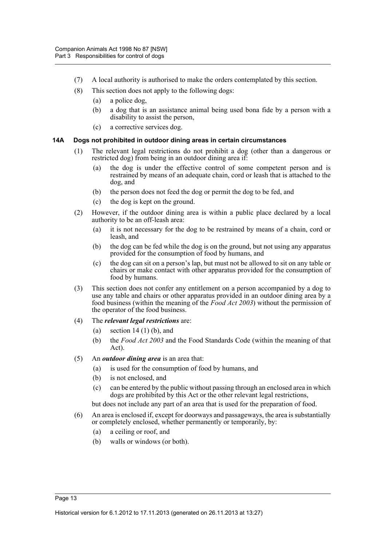- (7) A local authority is authorised to make the orders contemplated by this section.
- (8) This section does not apply to the following dogs:
	- (a) a police dog,
	- (b) a dog that is an assistance animal being used bona fide by a person with a disability to assist the person,
	- (c) a corrective services dog.

# <span id="page-18-0"></span>**14A Dogs not prohibited in outdoor dining areas in certain circumstances**

- (1) The relevant legal restrictions do not prohibit a dog (other than a dangerous or restricted dog) from being in an outdoor dining area if:
	- (a) the dog is under the effective control of some competent person and is restrained by means of an adequate chain, cord or leash that is attached to the dog, and
	- (b) the person does not feed the dog or permit the dog to be fed, and
	- (c) the dog is kept on the ground.
- (2) However, if the outdoor dining area is within a public place declared by a local authority to be an off-leash area:
	- (a) it is not necessary for the dog to be restrained by means of a chain, cord or leash, and
	- (b) the dog can be fed while the dog is on the ground, but not using any apparatus provided for the consumption of food by humans, and
	- (c) the dog can sit on a person's lap, but must not be allowed to sit on any table or chairs or make contact with other apparatus provided for the consumption of food by humans.
- (3) This section does not confer any entitlement on a person accompanied by a dog to use any table and chairs or other apparatus provided in an outdoor dining area by a food business (within the meaning of the *Food Act 2003*) without the permission of the operator of the food business.
- (4) The *relevant legal restrictions* are:
	- (a) section  $14(1)$  (b), and
	- (b) the *Food Act 2003* and the Food Standards Code (within the meaning of that Act).
- (5) An *outdoor dining area* is an area that:
	- (a) is used for the consumption of food by humans, and
	- (b) is not enclosed, and
	- (c) can be entered by the public without passing through an enclosed area in which dogs are prohibited by this Act or the other relevant legal restrictions, but does not include any part of an area that is used for the preparation of food.
- (6) An area is enclosed if, except for doorways and passageways, the area is substantially
	- or completely enclosed, whether permanently or temporarily, by:
		- (a) a ceiling or roof, and
		- (b) walls or windows (or both).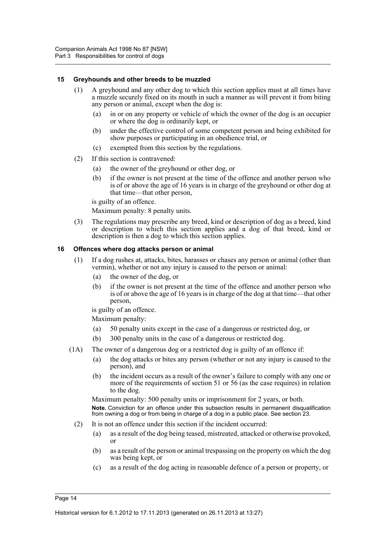#### <span id="page-19-0"></span>**15 Greyhounds and other breeds to be muzzled**

- (1) A greyhound and any other dog to which this section applies must at all times have a muzzle securely fixed on its mouth in such a manner as will prevent it from biting any person or animal, except when the dog is:
	- (a) in or on any property or vehicle of which the owner of the dog is an occupier or where the dog is ordinarily kept, or
	- (b) under the effective control of some competent person and being exhibited for show purposes or participating in an obedience trial, or
	- (c) exempted from this section by the regulations.
- (2) If this section is contravened:
	- (a) the owner of the greyhound or other dog, or
	- (b) if the owner is not present at the time of the offence and another person who is of or above the age of 16 years is in charge of the greyhound or other dog at that time—that other person,

is guilty of an offence.

Maximum penalty: 8 penalty units.

(3) The regulations may prescribe any breed, kind or description of dog as a breed, kind or description to which this section applies and a dog of that breed, kind or description is then a dog to which this section applies.

#### <span id="page-19-1"></span>**16 Offences where dog attacks person or animal**

- (1) If a dog rushes at, attacks, bites, harasses or chases any person or animal (other than vermin), whether or not any injury is caused to the person or animal:
	- (a) the owner of the dog, or
	- (b) if the owner is not present at the time of the offence and another person who is of or above the age of 16 years is in charge of the dog at that time—that other person,

is guilty of an offence.

Maximum penalty:

- (a) 50 penalty units except in the case of a dangerous or restricted dog, or
- (b) 300 penalty units in the case of a dangerous or restricted dog.
- (1A) The owner of a dangerous dog or a restricted dog is guilty of an offence if:
	- (a) the dog attacks or bites any person (whether or not any injury is caused to the person), and
	- (b) the incident occurs as a result of the owner's failure to comply with any one or more of the requirements of section 51 or 56 (as the case requires) in relation to the dog.

Maximum penalty: 500 penalty units or imprisonment for 2 years, or both. **Note.** Conviction for an offence under this subsection results in permanent disqualification from owning a dog or from being in charge of a dog in a public place. See section 23.

- (2) It is not an offence under this section if the incident occurred:
	- (a) as a result of the dog being teased, mistreated, attacked or otherwise provoked, or
	- (b) as a result of the person or animal trespassing on the property on which the dog was being kept, or
	- (c) as a result of the dog acting in reasonable defence of a person or property, or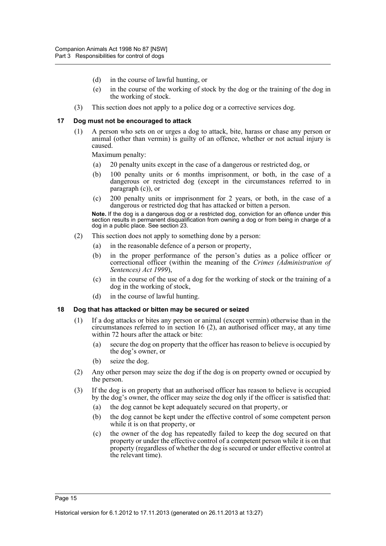- (d) in the course of lawful hunting, or
- (e) in the course of the working of stock by the dog or the training of the dog in the working of stock.
- (3) This section does not apply to a police dog or a corrective services dog.

#### <span id="page-20-0"></span>**17 Dog must not be encouraged to attack**

(1) A person who sets on or urges a dog to attack, bite, harass or chase any person or animal (other than vermin) is guilty of an offence, whether or not actual injury is caused.

Maximum penalty:

- (a) 20 penalty units except in the case of a dangerous or restricted dog, or
- (b) 100 penalty units or 6 months imprisonment, or both, in the case of a dangerous or restricted dog (except in the circumstances referred to in paragraph (c)), or
- (c) 200 penalty units or imprisonment for 2 years, or both, in the case of a dangerous or restricted dog that has attacked or bitten a person.

**Note.** If the dog is a dangerous dog or a restricted dog, conviction for an offence under this section results in permanent disqualification from owning a dog or from being in charge of a dog in a public place. See section 23.

- (2) This section does not apply to something done by a person:
	- (a) in the reasonable defence of a person or property,
	- (b) in the proper performance of the person's duties as a police officer or correctional officer (within the meaning of the *Crimes (Administration of Sentences) Act 1999*),
	- (c) in the course of the use of a dog for the working of stock or the training of a dog in the working of stock,
	- (d) in the course of lawful hunting.

#### <span id="page-20-1"></span>**18 Dog that has attacked or bitten may be secured or seized**

- (1) If a dog attacks or bites any person or animal (except vermin) otherwise than in the circumstances referred to in section 16 (2), an authorised officer may, at any time within 72 hours after the attack or bite:
	- (a) secure the dog on property that the officer has reason to believe is occupied by the dog's owner, or
	- (b) seize the dog.
- (2) Any other person may seize the dog if the dog is on property owned or occupied by the person.
- (3) If the dog is on property that an authorised officer has reason to believe is occupied by the dog's owner, the officer may seize the dog only if the officer is satisfied that:
	- (a) the dog cannot be kept adequately secured on that property, or
	- (b) the dog cannot be kept under the effective control of some competent person while it is on that property, or
	- (c) the owner of the dog has repeatedly failed to keep the dog secured on that property or under the effective control of a competent person while it is on that property (regardless of whether the dog is secured or under effective control at the relevant time).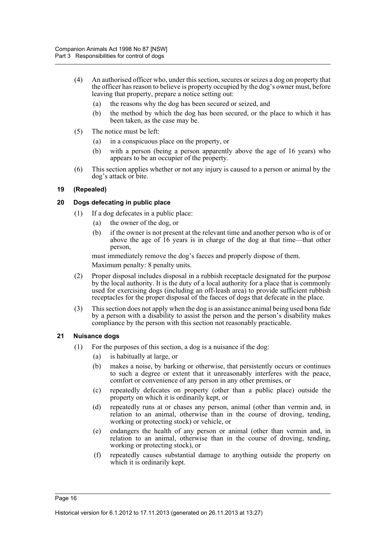- (4) An authorised officer who, under this section, secures or seizes a dog on property that the officer has reason to believe is property occupied by the dog's owner must, before leaving that property, prepare a notice setting out:
	- (a) the reasons why the dog has been secured or seized, and
	- (b) the method by which the dog has been secured, or the place to which it has been taken, as the case may be.
- (5) The notice must be left:
	- (a) in a conspicuous place on the property, or
	- (b) with a person (being a person apparently above the age of 16 years) who appears to be an occupier of the property.
- (6) This section applies whether or not any injury is caused to a person or animal by the dog's attack or bite.

# <span id="page-21-0"></span>**19 (Repealed)**

#### <span id="page-21-1"></span>**20 Dogs defecating in public place**

- (1) If a dog defecates in a public place:
	- (a) the owner of the dog, or
	- (b) if the owner is not present at the relevant time and another person who is of or above the age of 16 years is in charge of the dog at that time—that other person,

must immediately remove the dog's faeces and properly dispose of them. Maximum penalty: 8 penalty units.

- (2) Proper disposal includes disposal in a rubbish receptacle designated for the purpose by the local authority. It is the duty of a local authority for a place that is commonly used for exercising dogs (including an off-leash area) to provide sufficient rubbish receptacles for the proper disposal of the faeces of dogs that defecate in the place.
- (3) This section does not apply when the dog is an assistance animal being used bona fide by a person with a disability to assist the person and the person's disability makes compliance by the person with this section not reasonably practicable.

# <span id="page-21-2"></span>**21 Nuisance dogs**

- (1) For the purposes of this section, a dog is a nuisance if the dog:
	- (a) is habitually at large, or
	- (b) makes a noise, by barking or otherwise, that persistently occurs or continues to such a degree or extent that it unreasonably interferes with the peace, comfort or convenience of any person in any other premises, or
	- (c) repeatedly defecates on property (other than a public place) outside the property on which it is ordinarily kept, or
	- (d) repeatedly runs at or chases any person, animal (other than vermin and, in relation to an animal, otherwise than in the course of droving, tending, working or protecting stock) or vehicle, or
	- (e) endangers the health of any person or animal (other than vermin and, in relation to an animal, otherwise than in the course of droving, tending, working or protecting stock), or
	- (f) repeatedly causes substantial damage to anything outside the property on which it is ordinarily kept.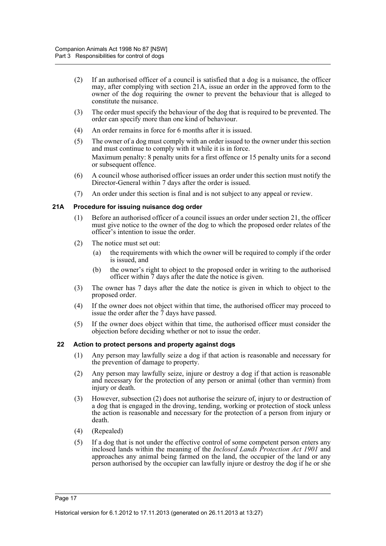- (2) If an authorised officer of a council is satisfied that a dog is a nuisance, the officer may, after complying with section 21A, issue an order in the approved form to the owner of the dog requiring the owner to prevent the behaviour that is alleged to constitute the nuisance.
- (3) The order must specify the behaviour of the dog that is required to be prevented. The order can specify more than one kind of behaviour.
- (4) An order remains in force for 6 months after it is issued.
- (5) The owner of a dog must comply with an order issued to the owner under this section and must continue to comply with it while it is in force. Maximum penalty: 8 penalty units for a first offence or 15 penalty units for a second or subsequent offence.
- (6) A council whose authorised officer issues an order under this section must notify the Director-General within 7 days after the order is issued.
- (7) An order under this section is final and is not subject to any appeal or review.

# <span id="page-22-0"></span>**21A Procedure for issuing nuisance dog order**

- (1) Before an authorised officer of a council issues an order under section 21, the officer must give notice to the owner of the dog to which the proposed order relates of the officer's intention to issue the order.
- (2) The notice must set out:
	- (a) the requirements with which the owner will be required to comply if the order is issued, and
	- (b) the owner's right to object to the proposed order in writing to the authorised officer within 7 days after the date the notice is given.
- (3) The owner has 7 days after the date the notice is given in which to object to the proposed order.
- (4) If the owner does not object within that time, the authorised officer may proceed to issue the order after the 7 days have passed.
- (5) If the owner does object within that time, the authorised officer must consider the objection before deciding whether or not to issue the order.

# <span id="page-22-1"></span>**22 Action to protect persons and property against dogs**

- (1) Any person may lawfully seize a dog if that action is reasonable and necessary for the prevention of damage to property.
- (2) Any person may lawfully seize, injure or destroy a dog if that action is reasonable and necessary for the protection of any person or animal (other than vermin) from injury or death.
- (3) However, subsection (2) does not authorise the seizure of, injury to or destruction of a dog that is engaged in the droving, tending, working or protection of stock unless the action is reasonable and necessary for the protection of a person from injury or death.
- (4) (Repealed)
- (5) If a dog that is not under the effective control of some competent person enters any inclosed lands within the meaning of the *Inclosed Lands Protection Act 1901* and approaches any animal being farmed on the land, the occupier of the land or any person authorised by the occupier can lawfully injure or destroy the dog if he or she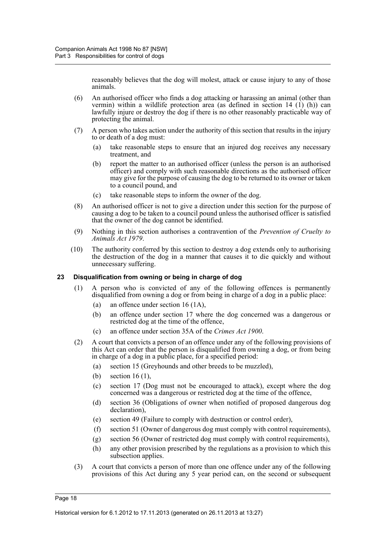reasonably believes that the dog will molest, attack or cause injury to any of those animals.

- (6) An authorised officer who finds a dog attacking or harassing an animal (other than vermin) within a wildlife protection area (as defined in section 14 (1) (h)) can lawfully injure or destroy the dog if there is no other reasonably practicable way of protecting the animal.
- (7) A person who takes action under the authority of this section that results in the injury to or death of a dog must:
	- (a) take reasonable steps to ensure that an injured dog receives any necessary treatment, and
	- (b) report the matter to an authorised officer (unless the person is an authorised officer) and comply with such reasonable directions as the authorised officer may give for the purpose of causing the dog to be returned to its owner or taken to a council pound, and
	- (c) take reasonable steps to inform the owner of the dog.
- (8) An authorised officer is not to give a direction under this section for the purpose of causing a dog to be taken to a council pound unless the authorised officer is satisfied that the owner of the dog cannot be identified.
- (9) Nothing in this section authorises a contravention of the *Prevention of Cruelty to Animals Act 1979*.
- (10) The authority conferred by this section to destroy a dog extends only to authorising the destruction of the dog in a manner that causes it to die quickly and without unnecessary suffering.

#### <span id="page-23-0"></span>**23 Disqualification from owning or being in charge of dog**

- (1) A person who is convicted of any of the following offences is permanently disqualified from owning a dog or from being in charge of a dog in a public place:
	- (a) an offence under section 16 (1A),
	- (b) an offence under section 17 where the dog concerned was a dangerous or restricted dog at the time of the offence,
	- (c) an offence under section 35A of the *Crimes Act 1900*.
- (2) A court that convicts a person of an offence under any of the following provisions of this Act can order that the person is disqualified from owning a dog, or from being in charge of a dog in a public place, for a specified period:
	- (a) section 15 (Greyhounds and other breeds to be muzzled),
	- (b) section 16 (1),
	- (c) section 17 (Dog must not be encouraged to attack), except where the dog concerned was a dangerous or restricted dog at the time of the offence,
	- (d) section 36 (Obligations of owner when notified of proposed dangerous dog declaration),
	- (e) section 49 (Failure to comply with destruction or control order),
	- (f) section 51 (Owner of dangerous dog must comply with control requirements),
	- (g) section 56 (Owner of restricted dog must comply with control requirements),
	- (h) any other provision prescribed by the regulations as a provision to which this subsection applies.
- (3) A court that convicts a person of more than one offence under any of the following provisions of this Act during any 5 year period can, on the second or subsequent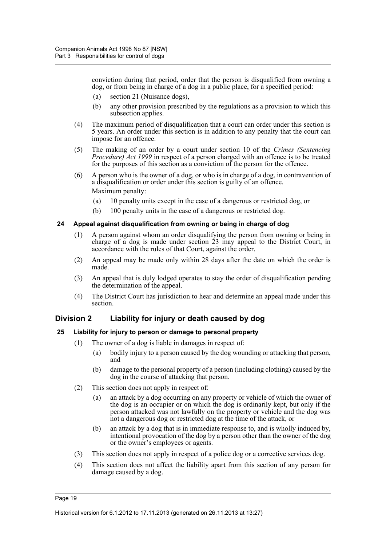conviction during that period, order that the person is disqualified from owning a dog, or from being in charge of a dog in a public place, for a specified period:

- (a) section 21 (Nuisance dogs),
- (b) any other provision prescribed by the regulations as a provision to which this subsection applies.
- (4) The maximum period of disqualification that a court can order under this section is 5 years. An order under this section is in addition to any penalty that the court can impose for an offence.
- (5) The making of an order by a court under section 10 of the *Crimes (Sentencing Procedure) Act 1999* in respect of a person charged with an offence is to be treated for the purposes of this section as a conviction of the person for the offence.
- (6) A person who is the owner of a dog, or who is in charge of a dog, in contravention of a disqualification or order under this section is guilty of an offence. Maximum penalty:
	- (a) 10 penalty units except in the case of a dangerous or restricted dog, or
	- (b) 100 penalty units in the case of a dangerous or restricted dog.

#### <span id="page-24-0"></span>**24 Appeal against disqualification from owning or being in charge of dog**

- (1) A person against whom an order disqualifying the person from owning or being in charge of a dog is made under section 23 may appeal to the District Court, in accordance with the rules of that Court, against the order.
- (2) An appeal may be made only within 28 days after the date on which the order is made.
- (3) An appeal that is duly lodged operates to stay the order of disqualification pending the determination of the appeal.
- (4) The District Court has jurisdiction to hear and determine an appeal made under this section.

# <span id="page-24-1"></span>**Division 2 Liability for injury or death caused by dog**

# <span id="page-24-2"></span>**25 Liability for injury to person or damage to personal property**

- (1) The owner of a dog is liable in damages in respect of:
	- (a) bodily injury to a person caused by the dog wounding or attacking that person, and
	- (b) damage to the personal property of a person (including clothing) caused by the dog in the course of attacking that person.
- (2) This section does not apply in respect of:
	- (a) an attack by a dog occurring on any property or vehicle of which the owner of the dog is an occupier or on which the dog is ordinarily kept, but only if the person attacked was not lawfully on the property or vehicle and the dog was not a dangerous dog or restricted dog at the time of the attack, or
	- (b) an attack by a dog that is in immediate response to, and is wholly induced by, intentional provocation of the dog by a person other than the owner of the dog or the owner's employees or agents.
- (3) This section does not apply in respect of a police dog or a corrective services dog.
- (4) This section does not affect the liability apart from this section of any person for damage caused by a dog.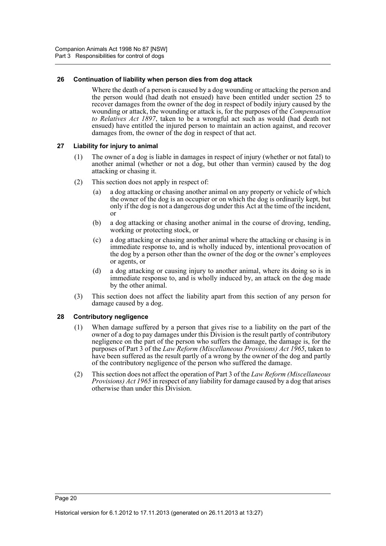# <span id="page-25-0"></span>**26 Continuation of liability when person dies from dog attack**

Where the death of a person is caused by a dog wounding or attacking the person and the person would (had death not ensued) have been entitled under section 25 to recover damages from the owner of the dog in respect of bodily injury caused by the wounding or attack, the wounding or attack is, for the purposes of the *Compensation to Relatives Act 1897*, taken to be a wrongful act such as would (had death not ensued) have entitled the injured person to maintain an action against, and recover damages from, the owner of the dog in respect of that act.

#### <span id="page-25-1"></span>**27 Liability for injury to animal**

- (1) The owner of a dog is liable in damages in respect of injury (whether or not fatal) to another animal (whether or not a dog, but other than vermin) caused by the dog attacking or chasing it.
- (2) This section does not apply in respect of:
	- (a) a dog attacking or chasing another animal on any property or vehicle of which the owner of the dog is an occupier or on which the dog is ordinarily kept, but only if the dog is not a dangerous dog under this Act at the time of the incident, or
	- (b) a dog attacking or chasing another animal in the course of droving, tending, working or protecting stock, or
	- (c) a dog attacking or chasing another animal where the attacking or chasing is in immediate response to, and is wholly induced by, intentional provocation of the dog by a person other than the owner of the dog or the owner's employees or agents, or
	- (d) a dog attacking or causing injury to another animal, where its doing so is in immediate response to, and is wholly induced by, an attack on the dog made by the other animal.
- (3) This section does not affect the liability apart from this section of any person for damage caused by a dog.

# <span id="page-25-2"></span>**28 Contributory negligence**

- (1) When damage suffered by a person that gives rise to a liability on the part of the owner of a dog to pay damages under this Division is the result partly of contributory negligence on the part of the person who suffers the damage, the damage is, for the purposes of Part 3 of the *Law Reform (Miscellaneous Provisions) Act 1965*, taken to have been suffered as the result partly of a wrong by the owner of the dog and partly of the contributory negligence of the person who suffered the damage.
- (2) This section does not affect the operation of Part 3 of the *Law Reform (Miscellaneous Provisions) Act 1965* in respect of any liability for damage caused by a dog that arises otherwise than under this Division.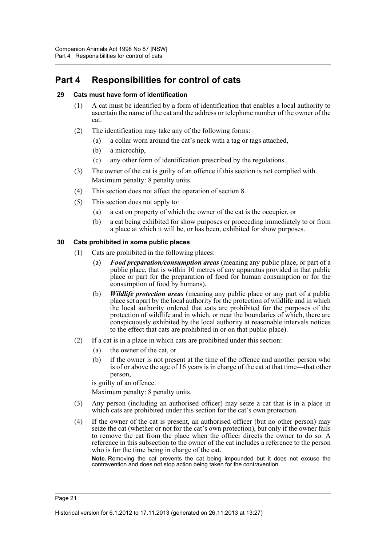# <span id="page-26-0"></span>**Part 4 Responsibilities for control of cats**

# <span id="page-26-1"></span>**29 Cats must have form of identification**

- (1) A cat must be identified by a form of identification that enables a local authority to ascertain the name of the cat and the address or telephone number of the owner of the cat.
- (2) The identification may take any of the following forms:
	- (a) a collar worn around the cat's neck with a tag or tags attached,
	- (b) a microchip,
	- (c) any other form of identification prescribed by the regulations.
- (3) The owner of the cat is guilty of an offence if this section is not complied with. Maximum penalty: 8 penalty units.
- (4) This section does not affect the operation of section 8.
- (5) This section does not apply to:
	- (a) a cat on property of which the owner of the cat is the occupier, or
	- (b) a cat being exhibited for show purposes or proceeding immediately to or from a place at which it will be, or has been, exhibited for show purposes.

# <span id="page-26-2"></span>**30 Cats prohibited in some public places**

- (1) Cats are prohibited in the following places:
	- (a) *Food preparation/consumption areas* (meaning any public place, or part of a public place, that is within 10 metres of any apparatus provided in that public place or part for the preparation of food for human consumption or for the consumption of food by humans).
	- (b) *Wildlife protection areas* (meaning any public place or any part of a public place set apart by the local authority for the protection of wildlife and in which the local authority ordered that cats are prohibited for the purposes of the protection of wildlife and in which, or near the boundaries of which, there are conspicuously exhibited by the local authority at reasonable intervals notices to the effect that cats are prohibited in or on that public place).
- (2) If a cat is in a place in which cats are prohibited under this section:
	- (a) the owner of the cat, or
	- (b) if the owner is not present at the time of the offence and another person who is of or above the age of 16 years is in charge of the cat at that time—that other person,

is guilty of an offence.

Maximum penalty: 8 penalty units.

- (3) Any person (including an authorised officer) may seize a cat that is in a place in which cats are prohibited under this section for the cat's own protection.
- (4) If the owner of the cat is present, an authorised officer (but no other person) may seize the cat (whether or not for the cat's own protection), but only if the owner fails to remove the cat from the place when the officer directs the owner to do so. A reference in this subsection to the owner of the cat includes a reference to the person who is for the time being in charge of the cat.

**Note.** Removing the cat prevents the cat being impounded but it does not excuse the contravention and does not stop action being taken for the contravention.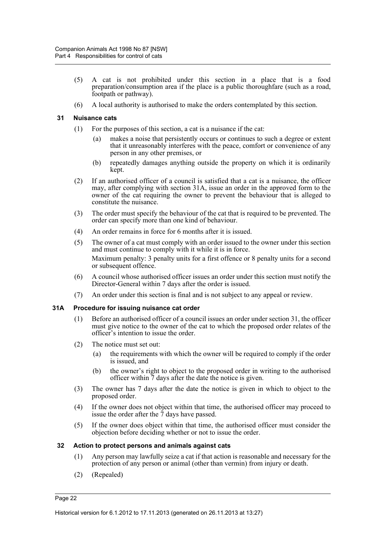- (5) A cat is not prohibited under this section in a place that is a food preparation/consumption area if the place is a public thoroughfare (such as a road, footpath or pathway).
- (6) A local authority is authorised to make the orders contemplated by this section.

#### <span id="page-27-0"></span>**31 Nuisance cats**

- (1) For the purposes of this section, a cat is a nuisance if the cat:
	- (a) makes a noise that persistently occurs or continues to such a degree or extent that it unreasonably interferes with the peace, comfort or convenience of any person in any other premises, or
	- (b) repeatedly damages anything outside the property on which it is ordinarily kept.
- (2) If an authorised officer of a council is satisfied that a cat is a nuisance, the officer may, after complying with section 31A, issue an order in the approved form to the owner of the cat requiring the owner to prevent the behaviour that is alleged to constitute the nuisance.
- (3) The order must specify the behaviour of the cat that is required to be prevented. The order can specify more than one kind of behaviour.
- (4) An order remains in force for 6 months after it is issued.
- (5) The owner of a cat must comply with an order issued to the owner under this section and must continue to comply with it while it is in force. Maximum penalty: 3 penalty units for a first offence or 8 penalty units for a second or subsequent offence.
- (6) A council whose authorised officer issues an order under this section must notify the Director-General within 7 days after the order is issued.
- (7) An order under this section is final and is not subject to any appeal or review.

#### <span id="page-27-1"></span>**31A Procedure for issuing nuisance cat order**

- (1) Before an authorised officer of a council issues an order under section 31, the officer must give notice to the owner of the cat to which the proposed order relates of the officer's intention to issue the order.
- (2) The notice must set out:
	- (a) the requirements with which the owner will be required to comply if the order is issued, and
	- (b) the owner's right to object to the proposed order in writing to the authorised officer within 7 days after the date the notice is given.
- (3) The owner has 7 days after the date the notice is given in which to object to the proposed order.
- (4) If the owner does not object within that time, the authorised officer may proceed to issue the order after the  $\tilde{7}$  days have passed.
- (5) If the owner does object within that time, the authorised officer must consider the objection before deciding whether or not to issue the order.

#### <span id="page-27-2"></span>**32 Action to protect persons and animals against cats**

- (1) Any person may lawfully seize a cat if that action is reasonable and necessary for the protection of any person or animal (other than vermin) from injury or death.
- (2) (Repealed)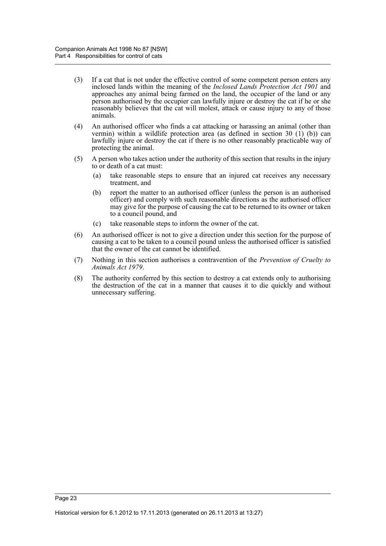- (3) If a cat that is not under the effective control of some competent person enters any inclosed lands within the meaning of the *Inclosed Lands Protection Act 1901* and approaches any animal being farmed on the land, the occupier of the land or any person authorised by the occupier can lawfully injure or destroy the cat if he or she reasonably believes that the cat will molest, attack or cause injury to any of those animals.
- (4) An authorised officer who finds a cat attacking or harassing an animal (other than vermin) within a wildlife protection area (as defined in section 30 (1) (b)) can lawfully injure or destroy the cat if there is no other reasonably practicable way of protecting the animal.
- (5) A person who takes action under the authority of this section that results in the injury to or death of a cat must:
	- (a) take reasonable steps to ensure that an injured cat receives any necessary treatment, and
	- (b) report the matter to an authorised officer (unless the person is an authorised officer) and comply with such reasonable directions as the authorised officer may give for the purpose of causing the cat to be returned to its owner or taken to a council pound, and
	- (c) take reasonable steps to inform the owner of the cat.
- (6) An authorised officer is not to give a direction under this section for the purpose of causing a cat to be taken to a council pound unless the authorised officer is satisfied that the owner of the cat cannot be identified.
- (7) Nothing in this section authorises a contravention of the *Prevention of Cruelty to Animals Act 1979*.
- (8) The authority conferred by this section to destroy a cat extends only to authorising the destruction of the cat in a manner that causes it to die quickly and without unnecessary suffering.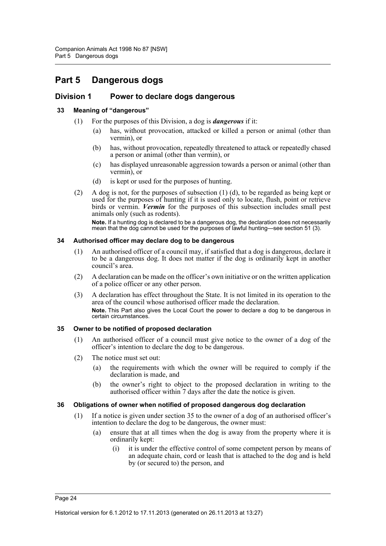# <span id="page-29-0"></span>**Part 5 Dangerous dogs**

# <span id="page-29-1"></span>**Division 1 Power to declare dogs dangerous**

# <span id="page-29-2"></span>**33 Meaning of "dangerous"**

- (1) For the purposes of this Division, a dog is *dangerous* if it:
	- (a) has, without provocation, attacked or killed a person or animal (other than vermin), or
	- (b) has, without provocation, repeatedly threatened to attack or repeatedly chased a person or animal (other than vermin), or
	- (c) has displayed unreasonable aggression towards a person or animal (other than vermin), or
	- (d) is kept or used for the purposes of hunting.
- (2) A dog is not, for the purposes of subsection (1) (d), to be regarded as being kept or used for the purposes of hunting if it is used only to locate, flush, point or retrieve birds or vermin. *Vermin* for the purposes of this subsection includes small pest animals only (such as rodents).

**Note.** If a hunting dog is declared to be a dangerous dog, the declaration does not necessarily mean that the dog cannot be used for the purposes of lawful hunting—see section 51 (3).

#### <span id="page-29-3"></span>**34 Authorised officer may declare dog to be dangerous**

- (1) An authorised officer of a council may, if satisfied that a dog is dangerous, declare it to be a dangerous dog. It does not matter if the dog is ordinarily kept in another council's area.
- (2) A declaration can be made on the officer's own initiative or on the written application of a police officer or any other person.
- (3) A declaration has effect throughout the State. It is not limited in its operation to the area of the council whose authorised officer made the declaration. **Note.** This Part also gives the Local Court the power to declare a dog to be dangerous in certain circumstances.

# <span id="page-29-4"></span>**35 Owner to be notified of proposed declaration**

- (1) An authorised officer of a council must give notice to the owner of a dog of the officer's intention to declare the dog to be dangerous.
- (2) The notice must set out:
	- (a) the requirements with which the owner will be required to comply if the declaration is made, and
	- (b) the owner's right to object to the proposed declaration in writing to the authorised officer within 7 days after the date the notice is given.

# <span id="page-29-5"></span>**36 Obligations of owner when notified of proposed dangerous dog declaration**

- (1) If a notice is given under section 35 to the owner of a dog of an authorised officer's intention to declare the dog to be dangerous, the owner must:
	- (a) ensure that at all times when the dog is away from the property where it is ordinarily kept:
		- (i) it is under the effective control of some competent person by means of an adequate chain, cord or leash that is attached to the dog and is held by (or secured to) the person, and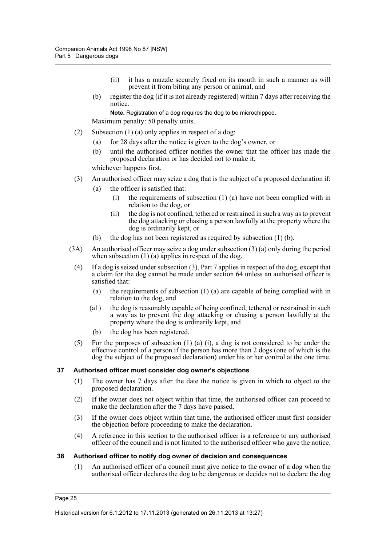- (ii) it has a muzzle securely fixed on its mouth in such a manner as will prevent it from biting any person or animal, and
- (b) register the dog (if it is not already registered) within 7 days after receiving the notice.

**Note.** Registration of a dog requires the dog to be microchipped.

Maximum penalty: 50 penalty units.

- (2) Subsection (1) (a) only applies in respect of a dog:
	- (a) for 28 days after the notice is given to the dog's owner, or
	- (b) until the authorised officer notifies the owner that the officer has made the proposed declaration or has decided not to make it,

whichever happens first.

- (3) An authorised officer may seize a dog that is the subject of a proposed declaration if:
	- (a) the officer is satisfied that:
		- (i) the requirements of subsection (1) (a) have not been complied with in relation to the dog, or
		- (ii) the dog is not confined, tethered or restrained in such a way as to prevent the dog attacking or chasing a person lawfully at the property where the dog is ordinarily kept, or
	- (b) the dog has not been registered as required by subsection (1) (b).
- (3A) An authorised officer may seize a dog under subsection (3) (a) only during the period when subsection  $(1)$  (a) applies in respect of the dog.
	- (4) If a dog is seized under subsection (3), Part 7 applies in respect of the dog, except that a claim for the dog cannot be made under section 64 unless an authorised officer is satisfied that:
		- (a) the requirements of subsection (1) (a) are capable of being complied with in relation to the dog, and
		- (a1) the dog is reasonably capable of being confined, tethered or restrained in such a way as to prevent the dog attacking or chasing a person lawfully at the property where the dog is ordinarily kept, and
		- (b) the dog has been registered.
	- (5) For the purposes of subsection (1) (a) (i), a dog is not considered to be under the effective control of a person if the person has more than 2 dogs (one of which is the dog the subject of the proposed declaration) under his or her control at the one time.

#### <span id="page-30-0"></span>**37 Authorised officer must consider dog owner's objections**

- (1) The owner has 7 days after the date the notice is given in which to object to the proposed declaration.
- (2) If the owner does not object within that time, the authorised officer can proceed to make the declaration after the 7 days have passed.
- (3) If the owner does object within that time, the authorised officer must first consider the objection before proceeding to make the declaration.
- (4) A reference in this section to the authorised officer is a reference to any authorised officer of the council and is not limited to the authorised officer who gave the notice.

#### <span id="page-30-1"></span>**38 Authorised officer to notify dog owner of decision and consequences**

(1) An authorised officer of a council must give notice to the owner of a dog when the authorised officer declares the dog to be dangerous or decides not to declare the dog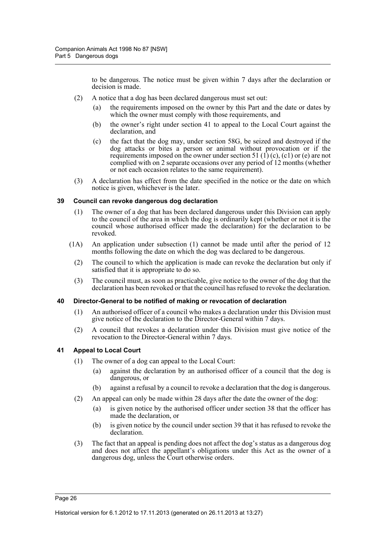to be dangerous. The notice must be given within 7 days after the declaration or decision is made.

- (2) A notice that a dog has been declared dangerous must set out:
	- (a) the requirements imposed on the owner by this Part and the date or dates by which the owner must comply with those requirements, and
	- (b) the owner's right under section 41 to appeal to the Local Court against the declaration, and
	- (c) the fact that the dog may, under section 58G, be seized and destroyed if the dog attacks or bites a person or animal without provocation or if the requirements imposed on the owner under section 51 (1) (c), (c1) or (e) are not complied with on 2 separate occasions over any period of 12 months (whether or not each occasion relates to the same requirement).
- (3) A declaration has effect from the date specified in the notice or the date on which notice is given, whichever is the later.

#### <span id="page-31-0"></span>**39 Council can revoke dangerous dog declaration**

- (1) The owner of a dog that has been declared dangerous under this Division can apply to the council of the area in which the dog is ordinarily kept (whether or not it is the council whose authorised officer made the declaration) for the declaration to be revoked.
- (1A) An application under subsection (1) cannot be made until after the period of 12 months following the date on which the dog was declared to be dangerous.
	- (2) The council to which the application is made can revoke the declaration but only if satisfied that it is appropriate to do so.
	- (3) The council must, as soon as practicable, give notice to the owner of the dog that the declaration has been revoked or that the council has refused to revoke the declaration.

#### <span id="page-31-1"></span>**40 Director-General to be notified of making or revocation of declaration**

- (1) An authorised officer of a council who makes a declaration under this Division must give notice of the declaration to the Director-General within 7 days.
- (2) A council that revokes a declaration under this Division must give notice of the revocation to the Director-General within 7 days.

# <span id="page-31-2"></span>**41 Appeal to Local Court**

- (1) The owner of a dog can appeal to the Local Court:
	- (a) against the declaration by an authorised officer of a council that the dog is dangerous, or
	- (b) against a refusal by a council to revoke a declaration that the dog is dangerous.
- (2) An appeal can only be made within 28 days after the date the owner of the dog:
	- (a) is given notice by the authorised officer under section 38 that the officer has made the declaration, or
	- (b) is given notice by the council under section 39 that it has refused to revoke the declaration.
- (3) The fact that an appeal is pending does not affect the dog's status as a dangerous dog and does not affect the appellant's obligations under this Act as the owner of a dangerous dog, unless the Court otherwise orders.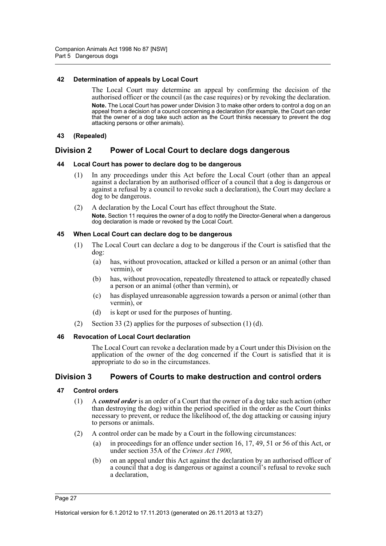#### <span id="page-32-0"></span>**42 Determination of appeals by Local Court**

The Local Court may determine an appeal by confirming the decision of the authorised officer or the council (as the case requires) or by revoking the declaration. **Note.** The Local Court has power under Division 3 to make other orders to control a dog on an appeal from a decision of a council concerning a declaration (for example, the Court can order that the owner of a dog take such action as the Court thinks necessary to prevent the dog attacking persons or other animals).

#### <span id="page-32-1"></span>**43 (Repealed)**

# <span id="page-32-2"></span>**Division 2 Power of Local Court to declare dogs dangerous**

#### <span id="page-32-3"></span>**44 Local Court has power to declare dog to be dangerous**

- (1) In any proceedings under this Act before the Local Court (other than an appeal against a declaration by an authorised officer of a council that a dog is dangerous or against a refusal by a council to revoke such a declaration), the Court may declare a dog to be dangerous.
- (2) A declaration by the Local Court has effect throughout the State. **Note.** Section 11 requires the owner of a dog to notify the Director-General when a dangerous dog declaration is made or revoked by the Local Court.

#### <span id="page-32-4"></span>**45 When Local Court can declare dog to be dangerous**

- (1) The Local Court can declare a dog to be dangerous if the Court is satisfied that the dog:
	- (a) has, without provocation, attacked or killed a person or an animal (other than vermin), or
	- (b) has, without provocation, repeatedly threatened to attack or repeatedly chased a person or an animal (other than vermin), or
	- (c) has displayed unreasonable aggression towards a person or animal (other than vermin), or
	- (d) is kept or used for the purposes of hunting.
- (2) Section 33 (2) applies for the purposes of subsection (1) (d).

#### <span id="page-32-5"></span>**46 Revocation of Local Court declaration**

The Local Court can revoke a declaration made by a Court under this Division on the application of the owner of the dog concerned if the Court is satisfied that it is appropriate to do so in the circumstances.

# <span id="page-32-6"></span>**Division 3 Powers of Courts to make destruction and control orders**

#### <span id="page-32-7"></span>**47 Control orders**

- (1) A *control order* is an order of a Court that the owner of a dog take such action (other than destroying the dog) within the period specified in the order as the Court thinks necessary to prevent, or reduce the likelihood of, the dog attacking or causing injury to persons or animals.
- (2) A control order can be made by a Court in the following circumstances:
	- (a) in proceedings for an offence under section 16, 17, 49, 51 or 56 of this Act, or under section 35A of the *Crimes Act 1900*,
	- (b) on an appeal under this Act against the declaration by an authorised officer of a council that a dog is dangerous or against a council's refusal to revoke such a declaration,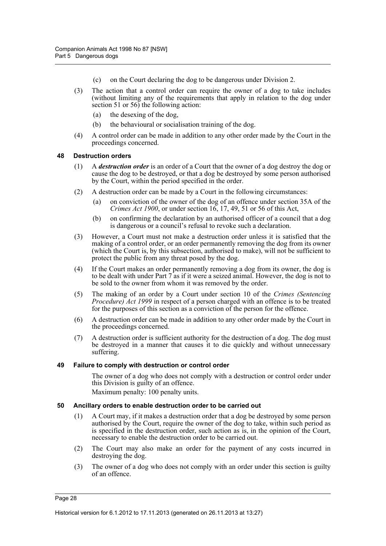- (c) on the Court declaring the dog to be dangerous under Division 2.
- (3) The action that a control order can require the owner of a dog to take includes (without limiting any of the requirements that apply in relation to the dog under section 51 or 56) the following action:
	- (a) the desexing of the dog,
	- (b) the behavioural or socialisation training of the dog.
- (4) A control order can be made in addition to any other order made by the Court in the proceedings concerned.

#### <span id="page-33-0"></span>**48 Destruction orders**

- (1) A *destruction order* is an order of a Court that the owner of a dog destroy the dog or cause the dog to be destroyed, or that a dog be destroyed by some person authorised by the Court, within the period specified in the order.
- (2) A destruction order can be made by a Court in the following circumstances:
	- (a) on conviction of the owner of the dog of an offence under section 35A of the *Crimes Act 1900*, or under section 16, 17, 49, 51 or 56 of this Act,
	- (b) on confirming the declaration by an authorised officer of a council that a dog is dangerous or a council's refusal to revoke such a declaration.
- (3) However, a Court must not make a destruction order unless it is satisfied that the making of a control order, or an order permanently removing the dog from its owner (which the Court is, by this subsection, authorised to make), will not be sufficient to protect the public from any threat posed by the dog.
- (4) If the Court makes an order permanently removing a dog from its owner, the dog is to be dealt with under Part 7 as if it were a seized animal. However, the dog is not to be sold to the owner from whom it was removed by the order.
- (5) The making of an order by a Court under section 10 of the *Crimes (Sentencing Procedure) Act 1999* in respect of a person charged with an offence is to be treated for the purposes of this section as a conviction of the person for the offence.
- (6) A destruction order can be made in addition to any other order made by the Court in the proceedings concerned.
- (7) A destruction order is sufficient authority for the destruction of a dog. The dog must be destroyed in a manner that causes it to die quickly and without unnecessary suffering.

#### <span id="page-33-1"></span>**49 Failure to comply with destruction or control order**

The owner of a dog who does not comply with a destruction or control order under this Division is guilty of an offence.

Maximum penalty: 100 penalty units.

#### <span id="page-33-2"></span>**50 Ancillary orders to enable destruction order to be carried out**

- (1) A Court may, if it makes a destruction order that a dog be destroyed by some person authorised by the Court, require the owner of the dog to take, within such period as is specified in the destruction order, such action as is, in the opinion of the Court, necessary to enable the destruction order to be carried out.
- (2) The Court may also make an order for the payment of any costs incurred in destroying the dog.
- (3) The owner of a dog who does not comply with an order under this section is guilty of an offence.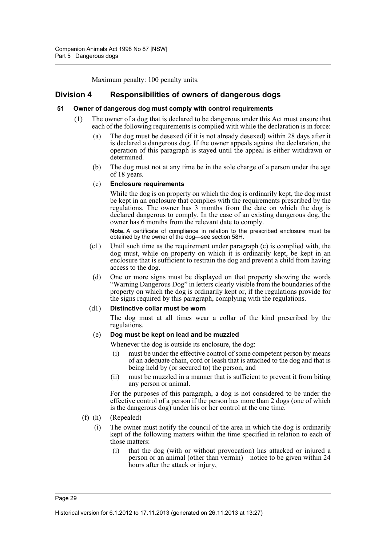Maximum penalty: 100 penalty units.

# <span id="page-34-0"></span>**Division 4 Responsibilities of owners of dangerous dogs**

#### <span id="page-34-1"></span>**51 Owner of dangerous dog must comply with control requirements**

- (1) The owner of a dog that is declared to be dangerous under this Act must ensure that each of the following requirements is complied with while the declaration is in force:
	- (a) The dog must be desexed (if it is not already desexed) within 28 days after it is declared a dangerous dog. If the owner appeals against the declaration, the operation of this paragraph is stayed until the appeal is either withdrawn or determined.
	- (b) The dog must not at any time be in the sole charge of a person under the age of 18 years.

#### (c) **Enclosure requirements**

While the dog is on property on which the dog is ordinarily kept, the dog must be kept in an enclosure that complies with the requirements prescribed by the regulations. The owner has 3 months from the date on which the dog is declared dangerous to comply. In the case of an existing dangerous dog, the owner has 6 months from the relevant date to comply.

**Note.** A certificate of compliance in relation to the prescribed enclosure must be obtained by the owner of the dog—see section 58H.

- (c1) Until such time as the requirement under paragraph (c) is complied with, the dog must, while on property on which it is ordinarily kept, be kept in an enclosure that is sufficient to restrain the dog and prevent a child from having access to the dog.
	- (d) One or more signs must be displayed on that property showing the words "Warning Dangerous Dog" in letters clearly visible from the boundaries of the property on which the dog is ordinarily kept or, if the regulations provide for the signs required by this paragraph, complying with the regulations.

#### (d1) **Distinctive collar must be worn**

The dog must at all times wear a collar of the kind prescribed by the regulations.

#### (e) **Dog must be kept on lead and be muzzled**

Whenever the dog is outside its enclosure, the dog:

- (i) must be under the effective control of some competent person by means of an adequate chain, cord or leash that is attached to the dog and that is being held by (or secured to) the person, and
- (ii) must be muzzled in a manner that is sufficient to prevent it from biting any person or animal.

For the purposes of this paragraph, a dog is not considered to be under the effective control of a person if the person has more than 2 dogs (one of which is the dangerous dog) under his or her control at the one time.

#### (f)–(h) (Repealed)

- (i) The owner must notify the council of the area in which the dog is ordinarily kept of the following matters within the time specified in relation to each of those matters:
	- (i) that the dog (with or without provocation) has attacked or injured a person or an animal (other than vermin)—notice to be given within 24 hours after the attack or injury,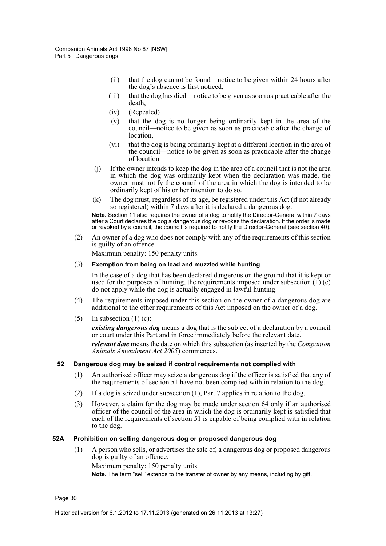- (ii) that the dog cannot be found—notice to be given within 24 hours after the dog's absence is first noticed,
- (iii) that the dog has died—notice to be given as soon as practicable after the death,
- (iv) (Repealed)
- (v) that the dog is no longer being ordinarily kept in the area of the council—notice to be given as soon as practicable after the change of location,
- (vi) that the dog is being ordinarily kept at a different location in the area of the council—notice to be given as soon as practicable after the change of location.
- (j) If the owner intends to keep the dog in the area of a council that is not the area in which the dog was ordinarily kept when the declaration was made, the owner must notify the council of the area in which the dog is intended to be ordinarily kept of his or her intention to do so.
- (k) The dog must, regardless of its age, be registered under this Act (if not already so registered) within 7 days after it is declared a dangerous dog.

**Note.** Section 11 also requires the owner of a dog to notify the Director-General within 7 days after a Court declares the dog a dangerous dog or revokes the declaration. If the order is made or revoked by a council, the council is required to notify the Director-General (see section 40).

(2) An owner of a dog who does not comply with any of the requirements of this section is guilty of an offence.

Maximum penalty: 150 penalty units.

#### (3) **Exemption from being on lead and muzzled while hunting**

In the case of a dog that has been declared dangerous on the ground that it is kept or used for the purposes of hunting, the requirements imposed under subsection  $(1)$  (e) do not apply while the dog is actually engaged in lawful hunting.

- (4) The requirements imposed under this section on the owner of a dangerous dog are additional to the other requirements of this Act imposed on the owner of a dog.
- $(5)$  In subsection  $(1)$  (c):

*existing dangerous dog* means a dog that is the subject of a declaration by a council or court under this Part and in force immediately before the relevant date. *relevant date* means the date on which this subsection (as inserted by the *Companion Animals Amendment Act 2005*) commences.

#### <span id="page-35-0"></span>**52 Dangerous dog may be seized if control requirements not complied with**

- (1) An authorised officer may seize a dangerous dog if the officer is satisfied that any of the requirements of section 51 have not been complied with in relation to the dog.
- (2) If a dog is seized under subsection (1), Part 7 applies in relation to the dog.
- (3) However, a claim for the dog may be made under section 64 only if an authorised officer of the council of the area in which the dog is ordinarily kept is satisfied that each of the requirements of section 51 is capable of being complied with in relation to the dog.

#### <span id="page-35-1"></span>**52A Prohibition on selling dangerous dog or proposed dangerous dog**

(1) A person who sells, or advertises the sale of, a dangerous dog or proposed dangerous dog is guilty of an offence.

Maximum penalty: 150 penalty units.

**Note.** The term "sell" extends to the transfer of owner by any means, including by gift.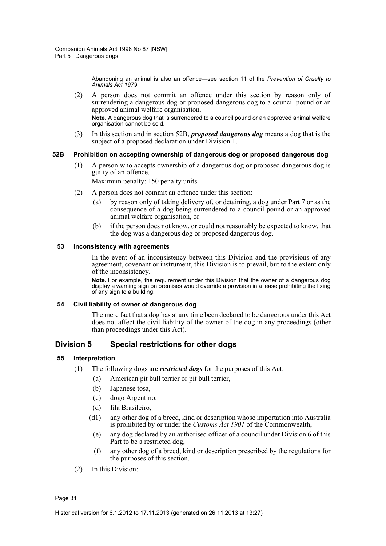Abandoning an animal is also an offence—see section 11 of the *Prevention of Cruelty to Animals Act 1979*.

(2) A person does not commit an offence under this section by reason only of surrendering a dangerous dog or proposed dangerous dog to a council pound or an approved animal welfare organisation.

**Note.** A dangerous dog that is surrendered to a council pound or an approved animal welfare organisation cannot be sold.

(3) In this section and in section 52B, *proposed dangerous dog* means a dog that is the subject of a proposed declaration under Division 1.

#### **52B Prohibition on accepting ownership of dangerous dog or proposed dangerous dog**

(1) A person who accepts ownership of a dangerous dog or proposed dangerous dog is guilty of an offence.

Maximum penalty: 150 penalty units.

- (2) A person does not commit an offence under this section:
	- (a) by reason only of taking delivery of, or detaining, a dog under Part 7 or as the consequence of a dog being surrendered to a council pound or an approved animal welfare organisation, or
	- (b) if the person does not know, or could not reasonably be expected to know, that the dog was a dangerous dog or proposed dangerous dog.

#### **53 Inconsistency with agreements**

In the event of an inconsistency between this Division and the provisions of any agreement, covenant or instrument, this Division is to prevail, but to the extent only of the inconsistency.

**Note.** For example, the requirement under this Division that the owner of a dangerous dog display a warning sign on premises would override a provision in a lease prohibiting the fixing of any sign to a building.

#### **54 Civil liability of owner of dangerous dog**

The mere fact that a dog has at any time been declared to be dangerous under this Act does not affect the civil liability of the owner of the dog in any proceedings (other than proceedings under this Act).

## **Division 5 Special restrictions for other dogs**

#### **55 Interpretation**

- (1) The following dogs are *restricted dogs* for the purposes of this Act:
	- (a) American pit bull terrier or pit bull terrier,
	- (b) Japanese tosa,
	- (c) dogo Argentino,
	- (d) fila Brasileiro,
	- (d1) any other dog of a breed, kind or description whose importation into Australia is prohibited by or under the *Customs Act 1901* of the Commonwealth,
		- (e) any dog declared by an authorised officer of a council under Division 6 of this Part to be a restricted dog,
		- (f) any other dog of a breed, kind or description prescribed by the regulations for the purposes of this section.
- (2) In this Division: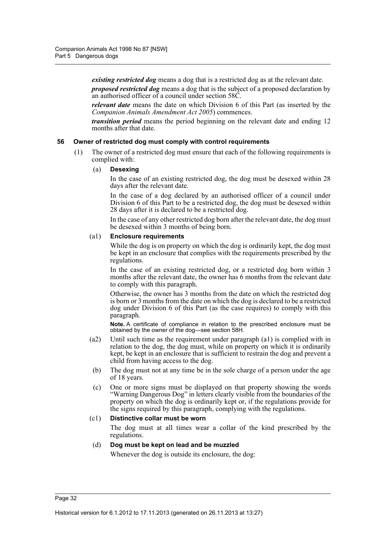*existing restricted dog* means a dog that is a restricted dog as at the relevant date.

*proposed restricted dog* means a dog that is the subject of a proposed declaration by an authorised officer of a council under section 58C.

*relevant date* means the date on which Division 6 of this Part (as inserted by the *Companion Animals Amendment Act 2005*) commences.

*transition period* means the period beginning on the relevant date and ending 12 months after that date.

#### **56 Owner of restricted dog must comply with control requirements**

(1) The owner of a restricted dog must ensure that each of the following requirements is complied with:

#### (a) **Desexing**

In the case of an existing restricted dog, the dog must be desexed within 28 days after the relevant date.

In the case of a dog declared by an authorised officer of a council under Division 6 of this Part to be a restricted dog, the dog must be desexed within 28 days after it is declared to be a restricted dog.

In the case of any other restricted dog born after the relevant date, the dog must be desexed within 3 months of being born.

#### (a1) **Enclosure requirements**

While the dog is on property on which the dog is ordinarily kept, the dog must be kept in an enclosure that complies with the requirements prescribed by the regulations.

In the case of an existing restricted dog, or a restricted dog born within 3 months after the relevant date, the owner has 6 months from the relevant date to comply with this paragraph.

Otherwise, the owner has 3 months from the date on which the restricted dog is born or 3 months from the date on which the dog is declared to be a restricted dog under Division 6 of this Part (as the case requires) to comply with this paragraph.

**Note.** A certificate of compliance in relation to the prescribed enclosure must be obtained by the owner of the dog—see section 58H.

- (a2) Until such time as the requirement under paragraph (a1) is complied with in relation to the dog, the dog must, while on property on which it is ordinarily kept, be kept in an enclosure that is sufficient to restrain the dog and prevent a child from having access to the dog.
- (b) The dog must not at any time be in the sole charge of a person under the age of 18 years.
- (c) One or more signs must be displayed on that property showing the words "Warning Dangerous Dog" in letters clearly visible from the boundaries of the property on which the dog is ordinarily kept or, if the regulations provide for the signs required by this paragraph, complying with the regulations.

#### (c1) **Distinctive collar must be worn**

The dog must at all times wear a collar of the kind prescribed by the regulations.

#### (d) **Dog must be kept on lead and be muzzled**

Whenever the dog is outside its enclosure, the dog: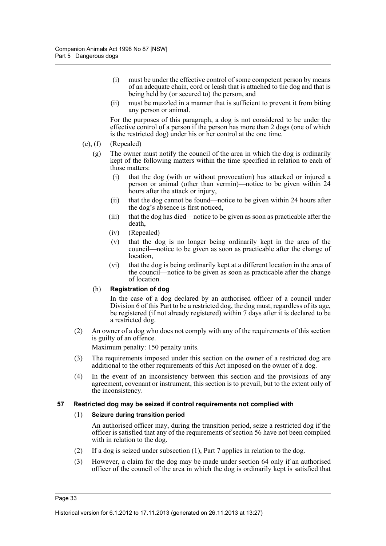- (i) must be under the effective control of some competent person by means of an adequate chain, cord or leash that is attached to the dog and that is being held by (or secured to) the person, and
- (ii) must be muzzled in a manner that is sufficient to prevent it from biting any person or animal.

For the purposes of this paragraph, a dog is not considered to be under the effective control of a person if the person has more than 2 dogs (one of which is the restricted dog) under his or her control at the one time.

#### (e), (f) (Repealed)

- (g) The owner must notify the council of the area in which the dog is ordinarily kept of the following matters within the time specified in relation to each of those matters:
	- (i) that the dog (with or without provocation) has attacked or injured a person or animal (other than vermin)—notice to be given within 24 hours after the attack or injury,
	- (ii) that the dog cannot be found—notice to be given within 24 hours after the dog's absence is first noticed,
	- (iii) that the dog has died—notice to be given as soon as practicable after the death,
	- (iv) (Repealed)
	- (v) that the dog is no longer being ordinarily kept in the area of the council—notice to be given as soon as practicable after the change of location,
	- (vi) that the dog is being ordinarily kept at a different location in the area of the council—notice to be given as soon as practicable after the change of location.

#### (h) **Registration of dog**

In the case of a dog declared by an authorised officer of a council under Division 6 of this Part to be a restricted dog, the dog must, regardless of its age, be registered (if not already registered) within 7 days after it is declared to be a restricted dog.

(2) An owner of a dog who does not comply with any of the requirements of this section is guilty of an offence.

Maximum penalty: 150 penalty units.

- (3) The requirements imposed under this section on the owner of a restricted dog are additional to the other requirements of this Act imposed on the owner of a dog.
- (4) In the event of an inconsistency between this section and the provisions of any agreement, covenant or instrument, this section is to prevail, but to the extent only of the inconsistency.

#### **57 Restricted dog may be seized if control requirements not complied with**

#### (1) **Seizure during transition period**

An authorised officer may, during the transition period, seize a restricted dog if the officer is satisfied that any of the requirements of section 56 have not been complied with in relation to the dog.

- (2) If a dog is seized under subsection (1), Part 7 applies in relation to the dog.
- (3) However, a claim for the dog may be made under section 64 only if an authorised officer of the council of the area in which the dog is ordinarily kept is satisfied that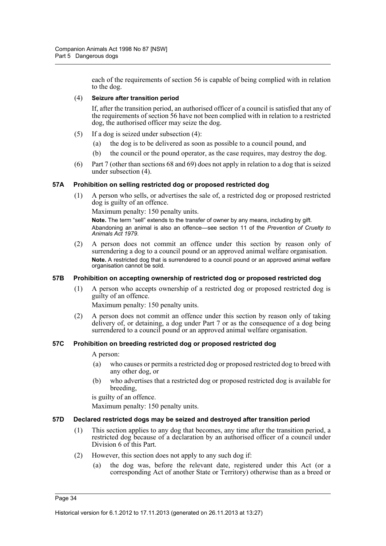each of the requirements of section 56 is capable of being complied with in relation to the dog.

#### (4) **Seizure after transition period**

If, after the transition period, an authorised officer of a council is satisfied that any of the requirements of section 56 have not been complied with in relation to a restricted dog, the authorised officer may seize the dog.

- (5) If a dog is seized under subsection (4):
	- (a) the dog is to be delivered as soon as possible to a council pound, and
	- (b) the council or the pound operator, as the case requires, may destroy the dog.
- (6) Part 7 (other than sections 68 and 69) does not apply in relation to a dog that is seized under subsection (4).

#### **57A Prohibition on selling restricted dog or proposed restricted dog**

(1) A person who sells, or advertises the sale of, a restricted dog or proposed restricted dog is guilty of an offence.

Maximum penalty: 150 penalty units.

**Note.** The term "sell" extends to the transfer of owner by any means, including by gift. Abandoning an animal is also an offence—see section 11 of the *Prevention of Cruelty to Animals Act 1979*.

(2) A person does not commit an offence under this section by reason only of surrendering a dog to a council pound or an approved animal welfare organisation. **Note.** A restricted dog that is surrendered to a council pound or an approved animal welfare organisation cannot be sold.

#### **57B Prohibition on accepting ownership of restricted dog or proposed restricted dog**

(1) A person who accepts ownership of a restricted dog or proposed restricted dog is guilty of an offence.

Maximum penalty: 150 penalty units.

(2) A person does not commit an offence under this section by reason only of taking delivery of, or detaining, a dog under Part 7 or as the consequence of a dog being surrendered to a council pound or an approved animal welfare organisation.

#### **57C Prohibition on breeding restricted dog or proposed restricted dog**

A person:

- (a) who causes or permits a restricted dog or proposed restricted dog to breed with any other dog, or
- (b) who advertises that a restricted dog or proposed restricted dog is available for breeding,

is guilty of an offence.

Maximum penalty: 150 penalty units.

#### **57D Declared restricted dogs may be seized and destroyed after transition period**

- (1) This section applies to any dog that becomes, any time after the transition period, a restricted dog because of a declaration by an authorised officer of a council under Division 6 of this Part.
- (2) However, this section does not apply to any such dog if:
	- (a) the dog was, before the relevant date, registered under this Act (or a corresponding Act of another State or Territory) otherwise than as a breed or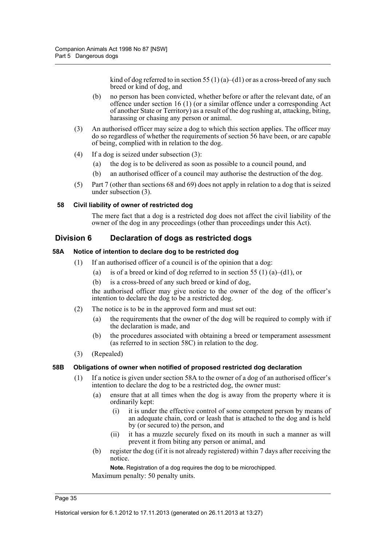kind of dog referred to in section 55 (1) (a)–(d1) or as a cross-breed of any such breed or kind of dog, and

- (b) no person has been convicted, whether before or after the relevant date, of an offence under section 16 (1) (or a similar offence under a corresponding Act of another State or Territory) as a result of the dog rushing at, attacking, biting, harassing or chasing any person or animal.
- (3) An authorised officer may seize a dog to which this section applies. The officer may do so regardless of whether the requirements of section 56 have been, or are capable of being, complied with in relation to the dog.
- (4) If a dog is seized under subsection (3):
	- (a) the dog is to be delivered as soon as possible to a council pound, and
	- (b) an authorised officer of a council may authorise the destruction of the dog.
- (5) Part 7 (other than sections 68 and 69) does not apply in relation to a dog that is seized under subsection (3).

#### **58 Civil liability of owner of restricted dog**

The mere fact that a dog is a restricted dog does not affect the civil liability of the owner of the dog in any proceedings (other than proceedings under this Act).

## **Division 6 Declaration of dogs as restricted dogs**

#### **58A Notice of intention to declare dog to be restricted dog**

- (1) If an authorised officer of a council is of the opinion that a dog:
	- (a) is of a breed or kind of dog referred to in section 55 (1) (a)–(d1), or
	- (b) is a cross-breed of any such breed or kind of dog,

the authorised officer may give notice to the owner of the dog of the officer's intention to declare the dog to be a restricted dog.

- (2) The notice is to be in the approved form and must set out:
	- (a) the requirements that the owner of the dog will be required to comply with if the declaration is made, and
	- (b) the procedures associated with obtaining a breed or temperament assessment (as referred to in section 58C) in relation to the dog.
- (3) (Repealed)

#### **58B Obligations of owner when notified of proposed restricted dog declaration**

- (1) If a notice is given under section 58A to the owner of a dog of an authorised officer's intention to declare the dog to be a restricted dog, the owner must:
	- (a) ensure that at all times when the dog is away from the property where it is ordinarily kept:
		- (i) it is under the effective control of some competent person by means of an adequate chain, cord or leash that is attached to the dog and is held by (or secured to) the person, and
		- (ii) it has a muzzle securely fixed on its mouth in such a manner as will prevent it from biting any person or animal, and
	- (b) register the dog (if it is not already registered) within 7 days after receiving the notice.

**Note.** Registration of a dog requires the dog to be microchipped. Maximum penalty: 50 penalty units.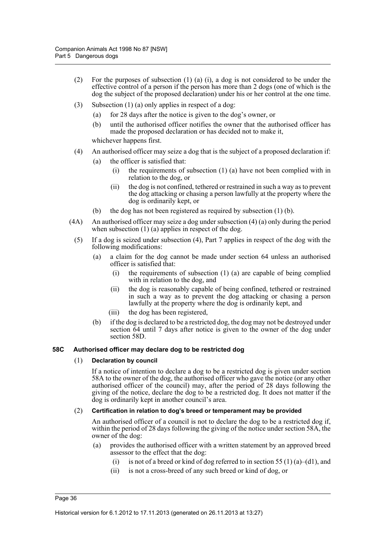- (2) For the purposes of subsection (1) (a) (i), a dog is not considered to be under the effective control of a person if the person has more than 2 dogs (one of which is the dog the subject of the proposed declaration) under his or her control at the one time.
- (3) Subsection (1) (a) only applies in respect of a dog:
	- (a) for 28 days after the notice is given to the dog's owner, or
	- (b) until the authorised officer notifies the owner that the authorised officer has made the proposed declaration or has decided not to make it,

whichever happens first.

- (4) An authorised officer may seize a dog that is the subject of a proposed declaration if:
	- (a) the officer is satisfied that:
		- (i) the requirements of subsection (1) (a) have not been complied with in relation to the dog, or
		- (ii) the dog is not confined, tethered or restrained in such a way as to prevent the dog attacking or chasing a person lawfully at the property where the dog is ordinarily kept, or
	- (b) the dog has not been registered as required by subsection (1) (b).
- (4A) An authorised officer may seize a dog under subsection (4) (a) only during the period when subsection  $(1)$  (a) applies in respect of the dog.
	- (5) If a dog is seized under subsection (4), Part 7 applies in respect of the dog with the following modifications:
		- (a) a claim for the dog cannot be made under section 64 unless an authorised officer is satisfied that:
			- the requirements of subsection  $(1)$   $(a)$  are capable of being complied with in relation to the dog, and
			- (ii) the dog is reasonably capable of being confined, tethered or restrained in such a way as to prevent the dog attacking or chasing a person lawfully at the property where the dog is ordinarily kept, and
			- (iii) the dog has been registered,
		- (b) if the dog is declared to be a restricted dog, the dog may not be destroyed under section 64 until 7 days after notice is given to the owner of the dog under section 58D.

#### **58C Authorised officer may declare dog to be restricted dog**

#### (1) **Declaration by council**

If a notice of intention to declare a dog to be a restricted dog is given under section 58A to the owner of the dog, the authorised officer who gave the notice (or any other authorised officer of the council) may, after the period of 28 days following the giving of the notice, declare the dog to be a restricted dog. It does not matter if the dog is ordinarily kept in another council's area.

#### (2) **Certification in relation to dog's breed or temperament may be provided**

An authorised officer of a council is not to declare the dog to be a restricted dog if, within the period of 28 days following the giving of the notice under section 58A, the owner of the dog:

- (a) provides the authorised officer with a written statement by an approved breed assessor to the effect that the dog:
	- (i) is not of a breed or kind of dog referred to in section 55 (1) (a)–(d1), and
	- (ii) is not a cross-breed of any such breed or kind of dog, or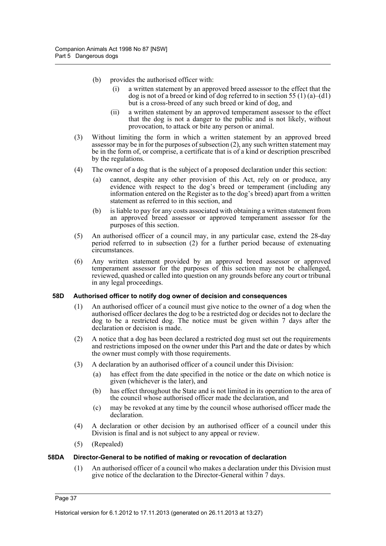- (b) provides the authorised officer with:
	- (i) a written statement by an approved breed assessor to the effect that the dog is not of a breed or kind of dog referred to in section 55 (1) (a)–(d1) but is a cross-breed of any such breed or kind of dog, and
	- (ii) a written statement by an approved temperament assessor to the effect that the dog is not a danger to the public and is not likely, without provocation, to attack or bite any person or animal.
- (3) Without limiting the form in which a written statement by an approved breed assessor may be in for the purposes of subsection (2), any such written statement may be in the form of, or comprise, a certificate that is of a kind or description prescribed by the regulations.
- (4) The owner of a dog that is the subject of a proposed declaration under this section:
	- (a) cannot, despite any other provision of this Act, rely on or produce, any evidence with respect to the dog's breed or temperament (including any information entered on the Register as to the dog's breed) apart from a written statement as referred to in this section, and
	- (b) is liable to pay for any costs associated with obtaining a written statement from an approved breed assessor or approved temperament assessor for the purposes of this section.
- (5) An authorised officer of a council may, in any particular case, extend the 28-day period referred to in subsection (2) for a further period because of extenuating circumstances.
- (6) Any written statement provided by an approved breed assessor or approved temperament assessor for the purposes of this section may not be challenged, reviewed, quashed or called into question on any grounds before any court or tribunal in any legal proceedings.

#### **58D Authorised officer to notify dog owner of decision and consequences**

- (1) An authorised officer of a council must give notice to the owner of a dog when the authorised officer declares the dog to be a restricted dog or decides not to declare the dog to be a restricted dog. The notice must be given within 7 days after the declaration or decision is made.
- (2) A notice that a dog has been declared a restricted dog must set out the requirements and restrictions imposed on the owner under this Part and the date or dates by which the owner must comply with those requirements.
- (3) A declaration by an authorised officer of a council under this Division:
	- (a) has effect from the date specified in the notice or the date on which notice is given (whichever is the later), and
	- (b) has effect throughout the State and is not limited in its operation to the area of the council whose authorised officer made the declaration, and
	- (c) may be revoked at any time by the council whose authorised officer made the declaration.
- (4) A declaration or other decision by an authorised officer of a council under this Division is final and is not subject to any appeal or review.
- (5) (Repealed)

#### **58DA Director-General to be notified of making or revocation of declaration**

(1) An authorised officer of a council who makes a declaration under this Division must give notice of the declaration to the Director-General within 7 days.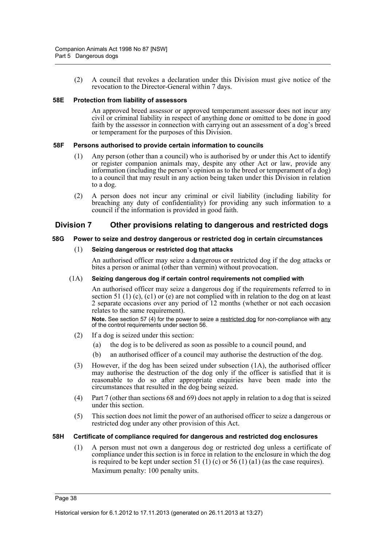(2) A council that revokes a declaration under this Division must give notice of the revocation to the Director-General within 7 days.

#### **58E Protection from liability of assessors**

An approved breed assessor or approved temperament assessor does not incur any civil or criminal liability in respect of anything done or omitted to be done in good faith by the assessor in connection with carrying out an assessment of a dog's breed or temperament for the purposes of this Division.

#### **58F Persons authorised to provide certain information to councils**

- (1) Any person (other than a council) who is authorised by or under this Act to identify or register companion animals may, despite any other Act or law, provide any information (including the person's opinion as to the breed or temperament of a dog) to a council that may result in any action being taken under this Division in relation to a dog.
- (2) A person does not incur any criminal or civil liability (including liability for breaching any duty of confidentiality) for providing any such information to a council if the information is provided in good faith.

### **Division 7 Other provisions relating to dangerous and restricted dogs**

#### **58G Power to seize and destroy dangerous or restricted dog in certain circumstances**

#### (1) **Seizing dangerous or restricted dog that attacks**

An authorised officer may seize a dangerous or restricted dog if the dog attacks or bites a person or animal (other than vermin) without provocation.

#### (1A) **Seizing dangerous dog if certain control requirements not complied with**

An authorised officer may seize a dangerous dog if the requirements referred to in section 51 (1) (c), (c1) or (e) are not complied with in relation to the dog on at least 2 separate occasions over any period of 12 months (whether or not each occasion relates to the same requirement).

**Note.** See section 57 (4) for the power to seize a restricted dog for non-compliance with any of the control requirements under section 56.

- (2) If a dog is seized under this section:
	- (a) the dog is to be delivered as soon as possible to a council pound, and
	- (b) an authorised officer of a council may authorise the destruction of the dog.
- (3) However, if the dog has been seized under subsection (1A), the authorised officer may authorise the destruction of the dog only if the officer is satisfied that it is reasonable to do so after appropriate enquiries have been made into the circumstances that resulted in the dog being seized.
- (4) Part 7 (other than sections 68 and 69) does not apply in relation to a dog that is seized under this section.
- (5) This section does not limit the power of an authorised officer to seize a dangerous or restricted dog under any other provision of this Act.

#### **58H Certificate of compliance required for dangerous and restricted dog enclosures**

(1) A person must not own a dangerous dog or restricted dog unless a certificate of compliance under this section is in force in relation to the enclosure in which the dog is required to be kept under section 51 (1) (c) or 56 (1) (a1) (as the case requires). Maximum penalty: 100 penalty units.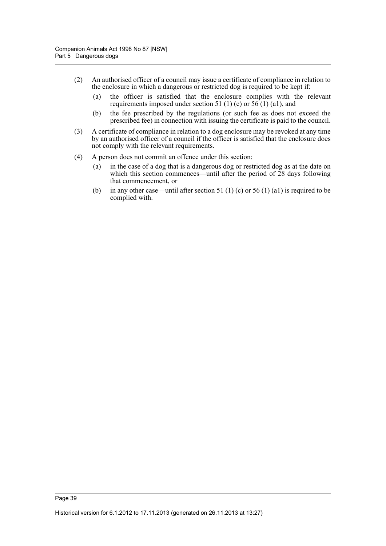- (2) An authorised officer of a council may issue a certificate of compliance in relation to the enclosure in which a dangerous or restricted dog is required to be kept if:
	- (a) the officer is satisfied that the enclosure complies with the relevant requirements imposed under section 51 (1) (c) or  $56(1)$  (a1), and
	- (b) the fee prescribed by the regulations (or such fee as does not exceed the prescribed fee) in connection with issuing the certificate is paid to the council.
- (3) A certificate of compliance in relation to a dog enclosure may be revoked at any time by an authorised officer of a council if the officer is satisfied that the enclosure does not comply with the relevant requirements.
- (4) A person does not commit an offence under this section:
	- (a) in the case of a dog that is a dangerous dog or restricted dog as at the date on which this section commences—until after the period of 28 days following that commencement, or
	- (b) in any other case—until after section 51 (1) (c) or 56 (1) (a1) is required to be complied with.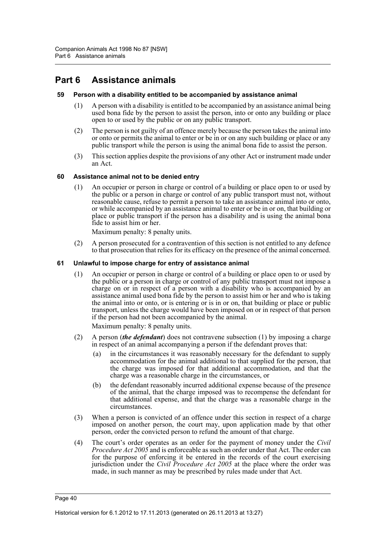# **Part 6 Assistance animals**

#### **59 Person with a disability entitled to be accompanied by assistance animal**

- (1) A person with a disability is entitled to be accompanied by an assistance animal being used bona fide by the person to assist the person, into or onto any building or place open to or used by the public or on any public transport.
- (2) The person is not guilty of an offence merely because the person takes the animal into or onto or permits the animal to enter or be in or on any such building or place or any public transport while the person is using the animal bona fide to assist the person.
- (3) This section applies despite the provisions of any other Act or instrument made under an Act.

#### **60 Assistance animal not to be denied entry**

(1) An occupier or person in charge or control of a building or place open to or used by the public or a person in charge or control of any public transport must not, without reasonable cause, refuse to permit a person to take an assistance animal into or onto, or while accompanied by an assistance animal to enter or be in or on, that building or place or public transport if the person has a disability and is using the animal bona fide to assist him or her.

Maximum penalty: 8 penalty units.

(2) A person prosecuted for a contravention of this section is not entitled to any defence to that prosecution that relies for its efficacy on the presence of the animal concerned.

#### **61 Unlawful to impose charge for entry of assistance animal**

(1) An occupier or person in charge or control of a building or place open to or used by the public or a person in charge or control of any public transport must not impose a charge on or in respect of a person with a disability who is accompanied by an assistance animal used bona fide by the person to assist him or her and who is taking the animal into or onto, or is entering or is in or on, that building or place or public transport, unless the charge would have been imposed on or in respect of that person if the person had not been accompanied by the animal.

Maximum penalty: 8 penalty units.

- (2) A person (*the defendant*) does not contravene subsection (1) by imposing a charge in respect of an animal accompanying a person if the defendant proves that:
	- (a) in the circumstances it was reasonably necessary for the defendant to supply accommodation for the animal additional to that supplied for the person, that the charge was imposed for that additional accommodation, and that the charge was a reasonable charge in the circumstances, or
	- (b) the defendant reasonably incurred additional expense because of the presence of the animal, that the charge imposed was to recompense the defendant for that additional expense, and that the charge was a reasonable charge in the circumstances.
- (3) When a person is convicted of an offence under this section in respect of a charge imposed on another person, the court may, upon application made by that other person, order the convicted person to refund the amount of that charge.
- (4) The court's order operates as an order for the payment of money under the *Civil Procedure Act 2005* and is enforceable as such an order under that Act. The order can for the purpose of enforcing it be entered in the records of the court exercising jurisdiction under the *Civil Procedure Act 2005* at the place where the order was made, in such manner as may be prescribed by rules made under that Act.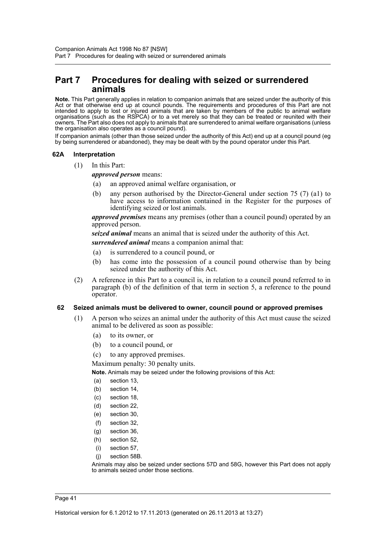## **Part 7 Procedures for dealing with seized or surrendered animals**

**Note.** This Part generally applies in relation to companion animals that are seized under the authority of this Act or that otherwise end up at council pounds. The requirements and procedures of this Part are not intended to apply to lost or injured animals that are taken by members of the public to animal welfare organisations (such as the RSPCA) or to a vet merely so that they can be treated or reunited with their owners. The Part also does not apply to animals that are surrendered to animal welfare organisations (unless the organisation also operates as a council pound).

If companion animals (other than those seized under the authority of this Act) end up at a council pound (eg by being surrendered or abandoned), they may be dealt with by the pound operator under this Part.

#### **62A Interpretation**

(1) In this Part:

*approved person* means:

- (a) an approved animal welfare organisation, or
- (b) any person authorised by the Director-General under section 75 (7) (a1) to have access to information contained in the Register for the purposes of identifying seized or lost animals.

*approved premises* means any premises (other than a council pound) operated by an approved person.

*seized animal* means an animal that is seized under the authority of this Act. *surrendered animal* means a companion animal that:

- (a) is surrendered to a council pound, or
- (b) has come into the possession of a council pound otherwise than by being seized under the authority of this Act.
- (2) A reference in this Part to a council is, in relation to a council pound referred to in paragraph (b) of the definition of that term in section 5, a reference to the pound operator.

#### **62 Seized animals must be delivered to owner, council pound or approved premises**

- (1) A person who seizes an animal under the authority of this Act must cause the seized animal to be delivered as soon as possible:
	- (a) to its owner, or
	- (b) to a council pound, or
	- (c) to any approved premises.

Maximum penalty: 30 penalty units.

**Note.** Animals may be seized under the following provisions of this Act:

- (a) section 13,
- (b) section 14,
- (c) section 18,
- (d) section 22,
- (e) section 30,
- (f) section 32,
- 
- (g) section 36,
- (h) section 52,
- (i) section 57,
- (j) section 58B.

Animals may also be seized under sections 57D and 58G, however this Part does not apply to animals seized under those sections.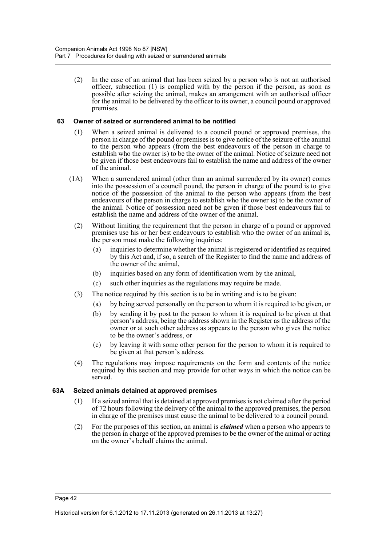(2) In the case of an animal that has been seized by a person who is not an authorised officer, subsection (1) is complied with by the person if the person, as soon as possible after seizing the animal, makes an arrangement with an authorised officer for the animal to be delivered by the officer to its owner, a council pound or approved premises.

### **63 Owner of seized or surrendered animal to be notified**

- (1) When a seized animal is delivered to a council pound or approved premises, the person in charge of the pound or premises is to give notice of the seizure of the animal to the person who appears (from the best endeavours of the person in charge to establish who the owner is) to be the owner of the animal. Notice of seizure need not be given if those best endeavours fail to establish the name and address of the owner of the animal.
- (1A) When a surrendered animal (other than an animal surrendered by its owner) comes into the possession of a council pound, the person in charge of the pound is to give notice of the possession of the animal to the person who appears (from the best endeavours of the person in charge to establish who the owner is) to be the owner of the animal. Notice of possession need not be given if those best endeavours fail to establish the name and address of the owner of the animal.
	- (2) Without limiting the requirement that the person in charge of a pound or approved premises use his or her best endeavours to establish who the owner of an animal is, the person must make the following inquiries:
		- (a) inquiries to determine whether the animal is registered or identified as required by this Act and, if so, a search of the Register to find the name and address of the owner of the animal,
		- (b) inquiries based on any form of identification worn by the animal,
		- (c) such other inquiries as the regulations may require be made.
	- (3) The notice required by this section is to be in writing and is to be given:
		- (a) by being served personally on the person to whom it is required to be given, or
		- (b) by sending it by post to the person to whom it is required to be given at that person's address, being the address shown in the Register as the address of the owner or at such other address as appears to the person who gives the notice to be the owner's address, or
		- (c) by leaving it with some other person for the person to whom it is required to be given at that person's address.
	- (4) The regulations may impose requirements on the form and contents of the notice required by this section and may provide for other ways in which the notice can be served.

#### **63A Seized animals detained at approved premises**

- (1) If a seized animal that is detained at approved premises is not claimed after the period of 72 hours following the delivery of the animal to the approved premises, the person in charge of the premises must cause the animal to be delivered to a council pound.
- (2) For the purposes of this section, an animal is *claimed* when a person who appears to the person in charge of the approved premises to be the owner of the animal or acting on the owner's behalf claims the animal.

Page 42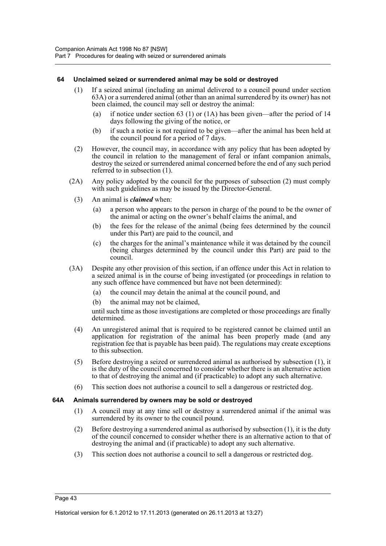#### **64 Unclaimed seized or surrendered animal may be sold or destroyed**

- (1) If a seized animal (including an animal delivered to a council pound under section 63A) or a surrendered animal (other than an animal surrendered by its owner) has not been claimed, the council may sell or destroy the animal:
	- (a) if notice under section 63 (1) or (1A) has been given—after the period of 14 days following the giving of the notice, or
	- (b) if such a notice is not required to be given—after the animal has been held at the council pound for a period of 7 days.
- (2) However, the council may, in accordance with any policy that has been adopted by the council in relation to the management of feral or infant companion animals, destroy the seized or surrendered animal concerned before the end of any such period referred to in subsection (1).
- (2A) Any policy adopted by the council for the purposes of subsection (2) must comply with such guidelines as may be issued by the Director-General.
	- (3) An animal is *claimed* when:
		- (a) a person who appears to the person in charge of the pound to be the owner of the animal or acting on the owner's behalf claims the animal, and
		- (b) the fees for the release of the animal (being fees determined by the council under this Part) are paid to the council, and
		- (c) the charges for the animal's maintenance while it was detained by the council (being charges determined by the council under this Part) are paid to the council.
- (3A) Despite any other provision of this section, if an offence under this Act in relation to a seized animal is in the course of being investigated (or proceedings in relation to any such offence have commenced but have not been determined):
	- (a) the council may detain the animal at the council pound, and
	- (b) the animal may not be claimed,

until such time as those investigations are completed or those proceedings are finally determined.

- (4) An unregistered animal that is required to be registered cannot be claimed until an application for registration of the animal has been properly made (and any registration fee that is payable has been paid). The regulations may create exceptions to this subsection.
- (5) Before destroying a seized or surrendered animal as authorised by subsection (1), it is the duty of the council concerned to consider whether there is an alternative action to that of destroying the animal and (if practicable) to adopt any such alternative.
- (6) This section does not authorise a council to sell a dangerous or restricted dog.

#### **64A Animals surrendered by owners may be sold or destroyed**

- (1) A council may at any time sell or destroy a surrendered animal if the animal was surrendered by its owner to the council pound.
- (2) Before destroying a surrendered animal as authorised by subsection (1), it is the duty of the council concerned to consider whether there is an alternative action to that of destroying the animal and (if practicable) to adopt any such alternative.
- (3) This section does not authorise a council to sell a dangerous or restricted dog.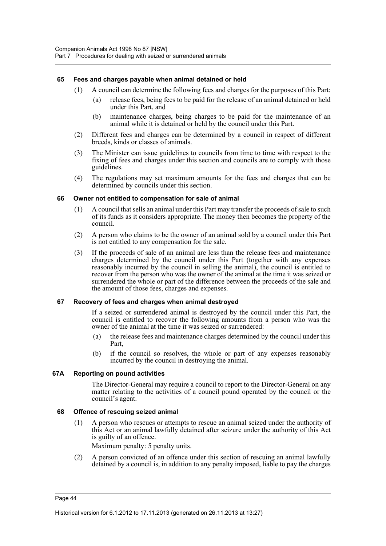#### **65 Fees and charges payable when animal detained or held**

- (1) A council can determine the following fees and charges for the purposes of this Part:
	- (a) release fees, being fees to be paid for the release of an animal detained or held under this Part, and
	- (b) maintenance charges, being charges to be paid for the maintenance of an animal while it is detained or held by the council under this Part.
- (2) Different fees and charges can be determined by a council in respect of different breeds, kinds or classes of animals.
- (3) The Minister can issue guidelines to councils from time to time with respect to the fixing of fees and charges under this section and councils are to comply with those guidelines.
- (4) The regulations may set maximum amounts for the fees and charges that can be determined by councils under this section.

### **66 Owner not entitled to compensation for sale of animal**

- (1) A council that sells an animal under this Part may transfer the proceeds of sale to such of its funds as it considers appropriate. The money then becomes the property of the council.
- (2) A person who claims to be the owner of an animal sold by a council under this Part is not entitled to any compensation for the sale.
- (3) If the proceeds of sale of an animal are less than the release fees and maintenance charges determined by the council under this Part (together with any expenses reasonably incurred by the council in selling the animal), the council is entitled to recover from the person who was the owner of the animal at the time it was seized or surrendered the whole or part of the difference between the proceeds of the sale and the amount of those fees, charges and expenses.

#### **67 Recovery of fees and charges when animal destroyed**

If a seized or surrendered animal is destroyed by the council under this Part, the council is entitled to recover the following amounts from a person who was the owner of the animal at the time it was seized or surrendered:

- (a) the release fees and maintenance charges determined by the council under this Part,
- (b) if the council so resolves, the whole or part of any expenses reasonably incurred by the council in destroying the animal.

#### **67A Reporting on pound activities**

The Director-General may require a council to report to the Director-General on any matter relating to the activities of a council pound operated by the council or the council's agent.

#### **68 Offence of rescuing seized animal**

(1) A person who rescues or attempts to rescue an animal seized under the authority of this Act or an animal lawfully detained after seizure under the authority of this Act is guilty of an offence.

Maximum penalty: 5 penalty units.

(2) A person convicted of an offence under this section of rescuing an animal lawfully detained by a council is, in addition to any penalty imposed, liable to pay the charges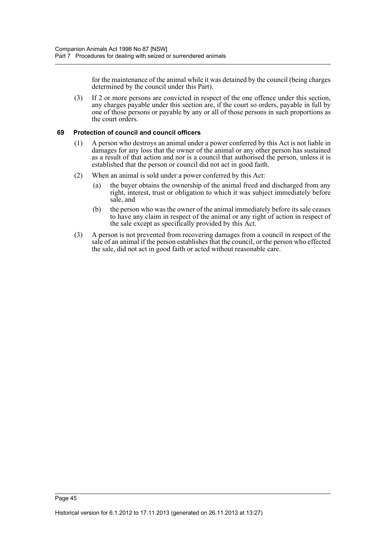for the maintenance of the animal while it was detained by the council (being charges determined by the council under this Part).

(3) If 2 or more persons are convicted in respect of the one offence under this section, any charges payable under this section are, if the court so orders, payable in full by one of those persons or payable by any or all of those persons in such proportions as the court orders.

#### **69 Protection of council and council officers**

- (1) A person who destroys an animal under a power conferred by this Act is not liable in damages for any loss that the owner of the animal or any other person has sustained as a result of that action and nor is a council that authorised the person, unless it is established that the person or council did not act in good faith.
- (2) When an animal is sold under a power conferred by this Act:
	- (a) the buyer obtains the ownership of the animal freed and discharged from any right, interest, trust or obligation to which it was subject immediately before sale, and
	- (b) the person who was the owner of the animal immediately before its sale ceases to have any claim in respect of the animal or any right of action in respect of the sale except as specifically provided by this Act.
- (3) A person is not prevented from recovering damages from a council in respect of the sale of an animal if the person establishes that the council, or the person who effected the sale, did not act in good faith or acted without reasonable care.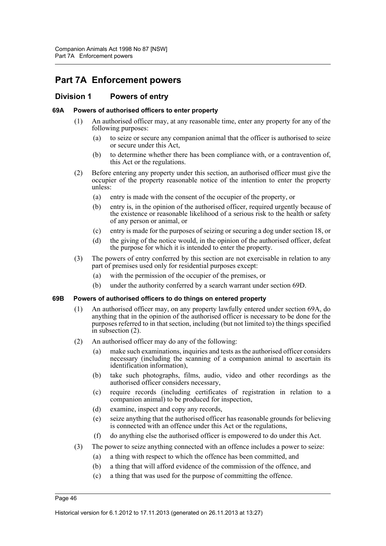# **Part 7A Enforcement powers**

## **Division 1 Powers of entry**

#### **69A Powers of authorised officers to enter property**

- (1) An authorised officer may, at any reasonable time, enter any property for any of the following purposes:
	- (a) to seize or secure any companion animal that the officer is authorised to seize or secure under this Act,
	- (b) to determine whether there has been compliance with, or a contravention of, this Act or the regulations.
- (2) Before entering any property under this section, an authorised officer must give the occupier of the property reasonable notice of the intention to enter the property unless:
	- (a) entry is made with the consent of the occupier of the property, or
	- (b) entry is, in the opinion of the authorised officer, required urgently because of the existence or reasonable likelihood of a serious risk to the health or safety of any person or animal, or
	- (c) entry is made for the purposes of seizing or securing a dog under section 18, or
	- (d) the giving of the notice would, in the opinion of the authorised officer, defeat the purpose for which it is intended to enter the property.
- (3) The powers of entry conferred by this section are not exercisable in relation to any part of premises used only for residential purposes except:
	- (a) with the permission of the occupier of the premises, or
	- (b) under the authority conferred by a search warrant under section 69D.

#### **69B Powers of authorised officers to do things on entered property**

- (1) An authorised officer may, on any property lawfully entered under section 69A, do anything that in the opinion of the authorised officer is necessary to be done for the purposes referred to in that section, including (but not limited to) the things specified in subsection (2).
- (2) An authorised officer may do any of the following:
	- (a) make such examinations, inquiries and tests as the authorised officer considers necessary (including the scanning of a companion animal to ascertain its identification information),
	- (b) take such photographs, films, audio, video and other recordings as the authorised officer considers necessary,
	- (c) require records (including certificates of registration in relation to a companion animal) to be produced for inspection,
	- (d) examine, inspect and copy any records,
	- (e) seize anything that the authorised officer has reasonable grounds for believing is connected with an offence under this Act or the regulations,
	- (f) do anything else the authorised officer is empowered to do under this Act.
- (3) The power to seize anything connected with an offence includes a power to seize:
	- (a) a thing with respect to which the offence has been committed, and
	- (b) a thing that will afford evidence of the commission of the offence, and
	- (c) a thing that was used for the purpose of committing the offence.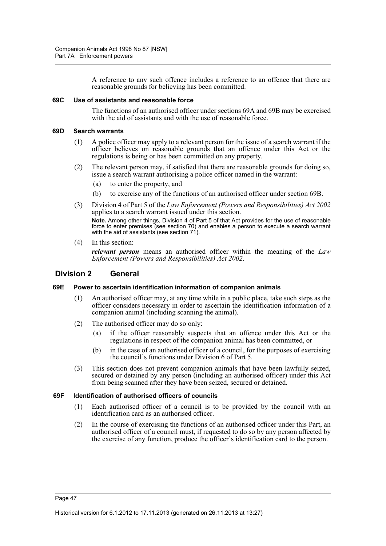A reference to any such offence includes a reference to an offence that there are reasonable grounds for believing has been committed.

#### **69C Use of assistants and reasonable force**

The functions of an authorised officer under sections 69A and 69B may be exercised with the aid of assistants and with the use of reasonable force.

#### **69D Search warrants**

- (1) A police officer may apply to a relevant person for the issue of a search warrant if the officer believes on reasonable grounds that an offence under this Act or the regulations is being or has been committed on any property.
- (2) The relevant person may, if satisfied that there are reasonable grounds for doing so, issue a search warrant authorising a police officer named in the warrant:
	- (a) to enter the property, and
	- (b) to exercise any of the functions of an authorised officer under section 69B.
- (3) Division 4 of Part 5 of the *Law Enforcement (Powers and Responsibilities) Act 2002* applies to a search warrant issued under this section. **Note.** Among other things, Division 4 of Part 5 of that Act provides for the use of reasonable force to enter premises (see section 70) and enables a person to execute a search warrant with the aid of assistants (see section 71).
- (4) In this section:

*relevant person* means an authorised officer within the meaning of the *Law Enforcement (Powers and Responsibilities) Act 2002*.

### **Division 2 General**

#### **69E Power to ascertain identification information of companion animals**

- (1) An authorised officer may, at any time while in a public place, take such steps as the officer considers necessary in order to ascertain the identification information of a companion animal (including scanning the animal).
- (2) The authorised officer may do so only:
	- (a) if the officer reasonably suspects that an offence under this Act or the regulations in respect of the companion animal has been committed, or
	- (b) in the case of an authorised officer of a council, for the purposes of exercising the council's functions under Division 6 of Part 5.
- (3) This section does not prevent companion animals that have been lawfully seized, secured or detained by any person (including an authorised officer) under this Act from being scanned after they have been seized, secured or detained.

#### **69F Identification of authorised officers of councils**

- (1) Each authorised officer of a council is to be provided by the council with an identification card as an authorised officer.
- (2) In the course of exercising the functions of an authorised officer under this Part, an authorised officer of a council must, if requested to do so by any person affected by the exercise of any function, produce the officer's identification card to the person.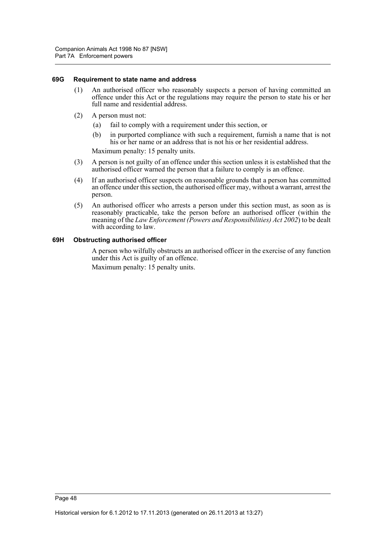#### **69G Requirement to state name and address**

- (1) An authorised officer who reasonably suspects a person of having committed an offence under this Act or the regulations may require the person to state his or her full name and residential address.
- (2) A person must not:
	- (a) fail to comply with a requirement under this section, or
	- (b) in purported compliance with such a requirement, furnish a name that is not his or her name or an address that is not his or her residential address.

Maximum penalty: 15 penalty units.

- (3) A person is not guilty of an offence under this section unless it is established that the authorised officer warned the person that a failure to comply is an offence.
- (4) If an authorised officer suspects on reasonable grounds that a person has committed an offence under this section, the authorised officer may, without a warrant, arrest the person.
- (5) An authorised officer who arrests a person under this section must, as soon as is reasonably practicable, take the person before an authorised officer (within the meaning of the *Law Enforcement (Powers and Responsibilities) Act 2002*) to be dealt with according to law.

#### **69H Obstructing authorised officer**

A person who wilfully obstructs an authorised officer in the exercise of any function under this Act is guilty of an offence.

Maximum penalty: 15 penalty units.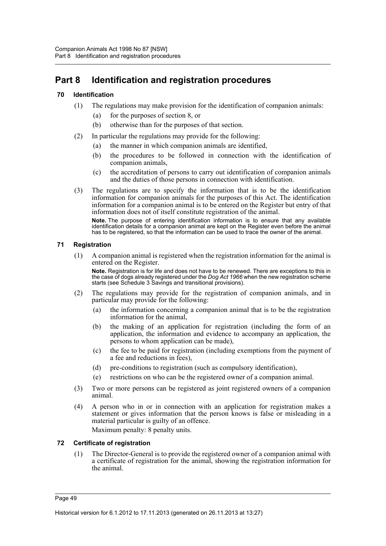# **Part 8 Identification and registration procedures**

### **70 Identification**

- (1) The regulations may make provision for the identification of companion animals:
	- (a) for the purposes of section 8, or
	- (b) otherwise than for the purposes of that section.
- (2) In particular the regulations may provide for the following:
	- (a) the manner in which companion animals are identified,
	- (b) the procedures to be followed in connection with the identification of companion animals,
	- (c) the accreditation of persons to carry out identification of companion animals and the duties of those persons in connection with identification.
- (3) The regulations are to specify the information that is to be the identification information for companion animals for the purposes of this Act. The identification information for a companion animal is to be entered on the Register but entry of that information does not of itself constitute registration of the animal.

**Note.** The purpose of entering identification information is to ensure that any available identification details for a companion animal are kept on the Register even before the animal has to be registered, so that the information can be used to trace the owner of the animal.

### **71 Registration**

(1) A companion animal is registered when the registration information for the animal is entered on the Register.

**Note.** Registration is for life and does not have to be renewed. There are exceptions to this in the case of dogs already registered under the *Dog Act 1966* when the new registration scheme starts (see Schedule 3 Savings and transitional provisions).

- (2) The regulations may provide for the registration of companion animals, and in particular may provide for the following:
	- (a) the information concerning a companion animal that is to be the registration information for the animal,
	- (b) the making of an application for registration (including the form of an application, the information and evidence to accompany an application, the persons to whom application can be made),
	- (c) the fee to be paid for registration (including exemptions from the payment of a fee and reductions in fees),
	- (d) pre-conditions to registration (such as compulsory identification),
	- (e) restrictions on who can be the registered owner of a companion animal.
- (3) Two or more persons can be registered as joint registered owners of a companion animal.
- (4) A person who in or in connection with an application for registration makes a statement or gives information that the person knows is false or misleading in a material particular is guilty of an offence. Maximum penalty: 8 penalty units.

#### **72 Certificate of registration**

(1) The Director-General is to provide the registered owner of a companion animal with a certificate of registration for the animal, showing the registration information for the animal.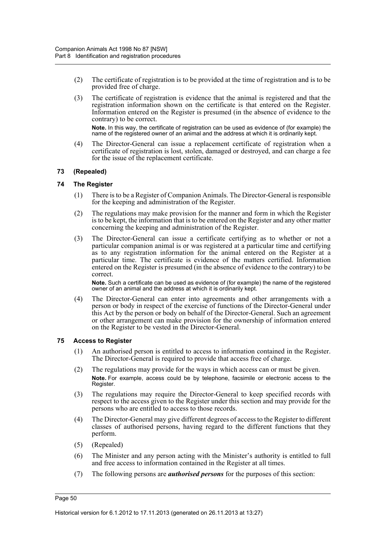- (2) The certificate of registration is to be provided at the time of registration and is to be provided free of charge.
- (3) The certificate of registration is evidence that the animal is registered and that the registration information shown on the certificate is that entered on the Register. Information entered on the Register is presumed (in the absence of evidence to the contrary) to be correct.

**Note.** In this way, the certificate of registration can be used as evidence of (for example) the name of the registered owner of an animal and the address at which it is ordinarily kept.

(4) The Director-General can issue a replacement certificate of registration when a certificate of registration is lost, stolen, damaged or destroyed, and can charge a fee for the issue of the replacement certificate.

#### **73 (Repealed)**

#### **74 The Register**

- (1) There is to be a Register of Companion Animals. The Director-General is responsible for the keeping and administration of the Register.
- (2) The regulations may make provision for the manner and form in which the Register is to be kept, the information that is to be entered on the Register and any other matter concerning the keeping and administration of the Register.
- (3) The Director-General can issue a certificate certifying as to whether or not a particular companion animal is or was registered at a particular time and certifying as to any registration information for the animal entered on the Register at a particular time. The certificate is evidence of the matters certified. Information entered on the Register is presumed (in the absence of evidence to the contrary) to be correct.

**Note.** Such a certificate can be used as evidence of (for example) the name of the registered owner of an animal and the address at which it is ordinarily kept.

(4) The Director-General can enter into agreements and other arrangements with a person or body in respect of the exercise of functions of the Director-General under this Act by the person or body on behalf of the Director-General. Such an agreement or other arrangement can make provision for the ownership of information entered on the Register to be vested in the Director-General.

#### **75 Access to Register**

- (1) An authorised person is entitled to access to information contained in the Register. The Director-General is required to provide that access free of charge.
- (2) The regulations may provide for the ways in which access can or must be given. **Note.** For example, access could be by telephone, facsimile or electronic access to the Register.
- (3) The regulations may require the Director-General to keep specified records with respect to the access given to the Register under this section and may provide for the persons who are entitled to access to those records.
- (4) The Director-General may give different degrees of access to the Register to different classes of authorised persons, having regard to the different functions that they perform.
- (5) (Repealed)
- (6) The Minister and any person acting with the Minister's authority is entitled to full and free access to information contained in the Register at all times.
- (7) The following persons are *authorised persons* for the purposes of this section: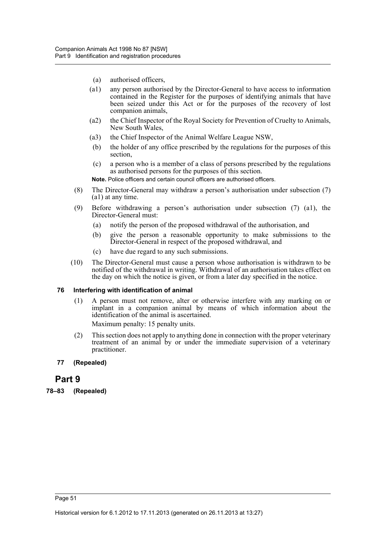- (a) authorised officers,
- (a1) any person authorised by the Director-General to have access to information contained in the Register for the purposes of identifying animals that have been seized under this Act or for the purposes of the recovery of lost companion animals,
- (a2) the Chief Inspector of the Royal Society for Prevention of Cruelty to Animals, New South Wales,
- (a3) the Chief Inspector of the Animal Welfare League NSW,
- (b) the holder of any office prescribed by the regulations for the purposes of this section,
- (c) a person who is a member of a class of persons prescribed by the regulations as authorised persons for the purposes of this section.

**Note.** Police officers and certain council officers are authorised officers.

- (8) The Director-General may withdraw a person's authorisation under subsection (7) (a1) at any time.
- (9) Before withdrawing a person's authorisation under subsection (7) (a1), the Director-General must:
	- (a) notify the person of the proposed withdrawal of the authorisation, and
	- (b) give the person a reasonable opportunity to make submissions to the Director-General in respect of the proposed withdrawal, and
	- (c) have due regard to any such submissions.
- (10) The Director-General must cause a person whose authorisation is withdrawn to be notified of the withdrawal in writing. Withdrawal of an authorisation takes effect on the day on which the notice is given, or from a later day specified in the notice.

#### **76 Interfering with identification of animal**

(1) A person must not remove, alter or otherwise interfere with any marking on or implant in a companion animal by means of which information about the identification of the animal is ascertained.

Maximum penalty: 15 penalty units.

(2) This section does not apply to anything done in connection with the proper veterinary treatment of an animal by or under the immediate supervision of a veterinary practitioner.

#### **77 (Repealed)**

## **Part 9**

**78–83 (Repealed)**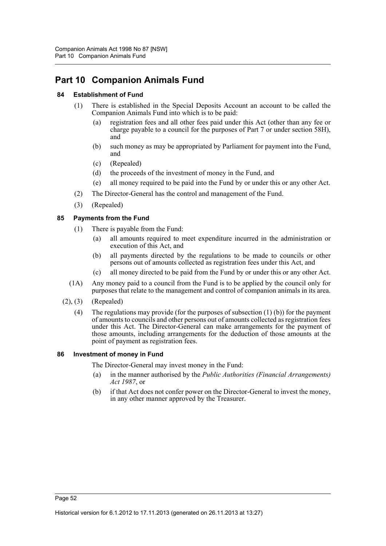# **Part 10 Companion Animals Fund**

### **84 Establishment of Fund**

- (1) There is established in the Special Deposits Account an account to be called the Companion Animals Fund into which is to be paid:
	- (a) registration fees and all other fees paid under this Act (other than any fee or charge payable to a council for the purposes of Part 7 or under section 58H), and
	- (b) such money as may be appropriated by Parliament for payment into the Fund, and
	- (c) (Repealed)
	- (d) the proceeds of the investment of money in the Fund, and
	- (e) all money required to be paid into the Fund by or under this or any other Act.
- (2) The Director-General has the control and management of the Fund.
- (3) (Repealed)

### **85 Payments from the Fund**

- (1) There is payable from the Fund:
	- (a) all amounts required to meet expenditure incurred in the administration or execution of this Act, and
	- (b) all payments directed by the regulations to be made to councils or other persons out of amounts collected as registration fees under this Act, and
	- (c) all money directed to be paid from the Fund by or under this or any other Act.
- (1A) Any money paid to a council from the Fund is to be applied by the council only for purposes that relate to the management and control of companion animals in its area.
- (2), (3) (Repealed)
	- (4) The regulations may provide (for the purposes of subsection (1) (b)) for the payment of amounts to councils and other persons out of amounts collected as registration fees under this Act. The Director-General can make arrangements for the payment of those amounts, including arrangements for the deduction of those amounts at the point of payment as registration fees.

#### **86 Investment of money in Fund**

The Director-General may invest money in the Fund:

- (a) in the manner authorised by the *Public Authorities (Financial Arrangements) Act 1987*, or
- (b) if that Act does not confer power on the Director-General to invest the money, in any other manner approved by the Treasurer.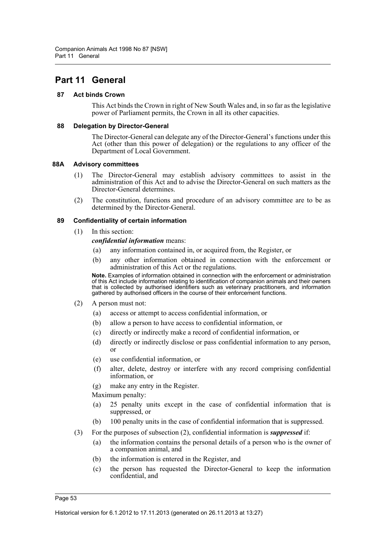# **Part 11 General**

#### **87 Act binds Crown**

This Act binds the Crown in right of New South Wales and, in so far as the legislative power of Parliament permits, the Crown in all its other capacities.

#### **88 Delegation by Director-General**

The Director-General can delegate any of the Director-General's functions under this Act (other than this power of delegation) or the regulations to any officer of the Department of Local Government.

#### **88A Advisory committees**

- (1) The Director-General may establish advisory committees to assist in the administration of this Act and to advise the Director-General on such matters as the Director-General determines.
- (2) The constitution, functions and procedure of an advisory committee are to be as determined by the Director-General.

#### **89 Confidentiality of certain information**

(1) In this section:

*confidential information* means:

- (a) any information contained in, or acquired from, the Register, or
- (b) any other information obtained in connection with the enforcement or administration of this Act or the regulations.

**Note.** Examples of information obtained in connection with the enforcement or administration of this Act include information relating to identification of companion animals and their owners that is collected by authorised identifiers such as veterinary practitioners, and information gathered by authorised officers in the course of their enforcement functions.

- (2) A person must not:
	- (a) access or attempt to access confidential information, or
	- (b) allow a person to have access to confidential information, or
	- (c) directly or indirectly make a record of confidential information, or
	- (d) directly or indirectly disclose or pass confidential information to any person, or
	- (e) use confidential information, or
	- (f) alter, delete, destroy or interfere with any record comprising confidential information, or

(g) make any entry in the Register.

Maximum penalty:

- (a) 25 penalty units except in the case of confidential information that is suppressed, or
- (b) 100 penalty units in the case of confidential information that is suppressed.
- (3) For the purposes of subsection (2), confidential information is *suppressed* if:
	- (a) the information contains the personal details of a person who is the owner of a companion animal, and
	- (b) the information is entered in the Register, and
	- (c) the person has requested the Director-General to keep the information confidential, and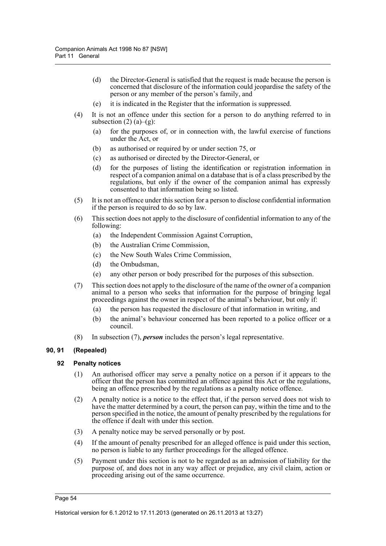- (d) the Director-General is satisfied that the request is made because the person is concerned that disclosure of the information could jeopardise the safety of the person or any member of the person's family, and
- (e) it is indicated in the Register that the information is suppressed.
- (4) It is not an offence under this section for a person to do anything referred to in subsection  $(2)$   $(a)$ – $(g)$ :
	- (a) for the purposes of, or in connection with, the lawful exercise of functions under the Act, or
	- (b) as authorised or required by or under section 75, or
	- (c) as authorised or directed by the Director-General, or
	- (d) for the purposes of listing the identification or registration information in respect of a companion animal on a database that is of a class prescribed by the regulations, but only if the owner of the companion animal has expressly consented to that information being so listed.
- (5) It is not an offence under this section for a person to disclose confidential information if the person is required to do so by law.
- (6) This section does not apply to the disclosure of confidential information to any of the following:
	- (a) the Independent Commission Against Corruption,
	- (b) the Australian Crime Commission,
	- (c) the New South Wales Crime Commission,
	- (d) the Ombudsman,
	- (e) any other person or body prescribed for the purposes of this subsection.
- (7) This section does not apply to the disclosure of the name of the owner of a companion animal to a person who seeks that information for the purpose of bringing legal proceedings against the owner in respect of the animal's behaviour, but only if:
	- (a) the person has requested the disclosure of that information in writing, and
	- (b) the animal's behaviour concerned has been reported to a police officer or a council.
- (8) In subsection (7), *person* includes the person's legal representative.

#### **90, 91 (Repealed)**

#### **92 Penalty notices**

- (1) An authorised officer may serve a penalty notice on a person if it appears to the officer that the person has committed an offence against this Act or the regulations, being an offence prescribed by the regulations as a penalty notice offence.
- (2) A penalty notice is a notice to the effect that, if the person served does not wish to have the matter determined by a court, the person can pay, within the time and to the person specified in the notice, the amount of penalty prescribed by the regulations for the offence if dealt with under this section.
- (3) A penalty notice may be served personally or by post.
- (4) If the amount of penalty prescribed for an alleged offence is paid under this section, no person is liable to any further proceedings for the alleged offence.
- (5) Payment under this section is not to be regarded as an admission of liability for the purpose of, and does not in any way affect or prejudice, any civil claim, action or proceeding arising out of the same occurrence.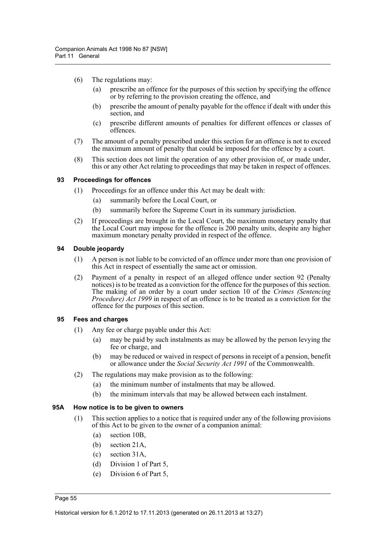- (6) The regulations may:
	- (a) prescribe an offence for the purposes of this section by specifying the offence or by referring to the provision creating the offence, and
	- (b) prescribe the amount of penalty payable for the offence if dealt with under this section, and
	- (c) prescribe different amounts of penalties for different offences or classes of offences.
- (7) The amount of a penalty prescribed under this section for an offence is not to exceed the maximum amount of penalty that could be imposed for the offence by a court.
- (8) This section does not limit the operation of any other provision of, or made under, this or any other Act relating to proceedings that may be taken in respect of offences.

#### **93 Proceedings for offences**

- (1) Proceedings for an offence under this Act may be dealt with:
	- (a) summarily before the Local Court, or
	- (b) summarily before the Supreme Court in its summary jurisdiction.
- (2) If proceedings are brought in the Local Court, the maximum monetary penalty that the Local Court may impose for the offence is 200 penalty units, despite any higher maximum monetary penalty provided in respect of the offence.

#### **94 Double jeopardy**

- (1) A person is not liable to be convicted of an offence under more than one provision of this Act in respect of essentially the same act or omission.
- (2) Payment of a penalty in respect of an alleged offence under section 92 (Penalty notices) is to be treated as a conviction for the offence for the purposes of this section. The making of an order by a court under section 10 of the *Crimes (Sentencing Procedure) Act 1999* in respect of an offence is to be treated as a conviction for the offence for the purposes of this section.

#### **95 Fees and charges**

- (1) Any fee or charge payable under this Act:
	- (a) may be paid by such instalments as may be allowed by the person levying the fee or charge, and
	- (b) may be reduced or waived in respect of persons in receipt of a pension, benefit or allowance under the *Social Security Act 1991* of the Commonwealth.
- (2) The regulations may make provision as to the following:
	- (a) the minimum number of instalments that may be allowed.
	- (b) the minimum intervals that may be allowed between each instalment.

#### **95A How notice is to be given to owners**

- (1) This section applies to a notice that is required under any of the following provisions of this Act to be given to the owner of a companion animal:
	- (a) section 10B,
	- (b) section 21A,
	- (c) section 31A,
	- (d) Division 1 of Part 5,
	- (e) Division 6 of Part 5,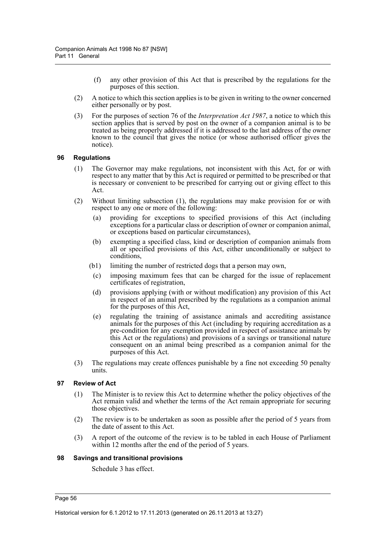- (f) any other provision of this Act that is prescribed by the regulations for the purposes of this section.
- (2) A notice to which this section applies is to be given in writing to the owner concerned either personally or by post.
- (3) For the purposes of section 76 of the *Interpretation Act 1987*, a notice to which this section applies that is served by post on the owner of a companion animal is to be treated as being properly addressed if it is addressed to the last address of the owner known to the council that gives the notice (or whose authorised officer gives the notice).

#### **96 Regulations**

- (1) The Governor may make regulations, not inconsistent with this Act, for or with respect to any matter that by this Act is required or permitted to be prescribed or that is necessary or convenient to be prescribed for carrying out or giving effect to this Act.
- (2) Without limiting subsection (1), the regulations may make provision for or with respect to any one or more of the following:
	- (a) providing for exceptions to specified provisions of this Act (including exceptions for a particular class or description of owner or companion animal, or exceptions based on particular circumstances),
	- (b) exempting a specified class, kind or description of companion animals from all or specified provisions of this Act, either unconditionally or subject to conditions,
	- (b1) limiting the number of restricted dogs that a person may own,
		- (c) imposing maximum fees that can be charged for the issue of replacement certificates of registration,
	- (d) provisions applying (with or without modification) any provision of this Act in respect of an animal prescribed by the regulations as a companion animal for the purposes of this Act,
	- (e) regulating the training of assistance animals and accrediting assistance animals for the purposes of this Act (including by requiring accreditation as a pre-condition for any exemption provided in respect of assistance animals by this Act or the regulations) and provisions of a savings or transitional nature consequent on an animal being prescribed as a companion animal for the purposes of this Act.
- (3) The regulations may create offences punishable by a fine not exceeding 50 penalty units.

#### **97 Review of Act**

- (1) The Minister is to review this Act to determine whether the policy objectives of the Act remain valid and whether the terms of the Act remain appropriate for securing those objectives.
- (2) The review is to be undertaken as soon as possible after the period of 5 years from the date of assent to this Act.
- (3) A report of the outcome of the review is to be tabled in each House of Parliament within 12 months after the end of the period of 5 years.

#### **98 Savings and transitional provisions**

Schedule 3 has effect.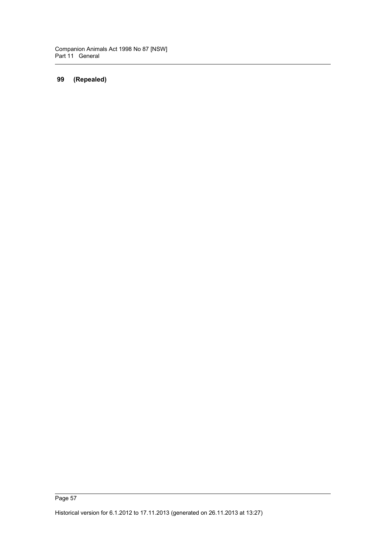## **99 (Repealed)**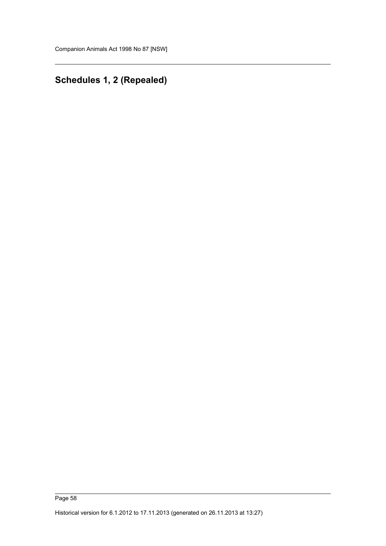# **Schedules 1, 2 (Repealed)**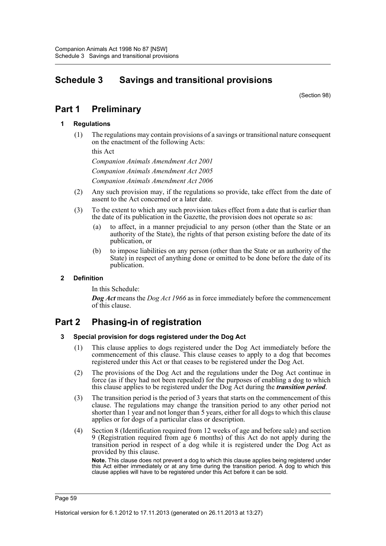# **Schedule 3 Savings and transitional provisions**

(Section 98)

# **Part 1 Preliminary**

### **1 Regulations**

(1) The regulations may contain provisions of a savings or transitional nature consequent on the enactment of the following Acts:

this Act

*Companion Animals Amendment Act 2001 Companion Animals Amendment Act 2005 Companion Animals Amendment Act 2006*

- (2) Any such provision may, if the regulations so provide, take effect from the date of assent to the Act concerned or a later date.
- (3) To the extent to which any such provision takes effect from a date that is earlier than the date of its publication in the Gazette, the provision does not operate so as:
	- (a) to affect, in a manner prejudicial to any person (other than the State or an authority of the State), the rights of that person existing before the date of its publication, or
	- (b) to impose liabilities on any person (other than the State or an authority of the State) in respect of anything done or omitted to be done before the date of its publication.

## **2 Definition**

In this Schedule:

*Dog Act* means the *Dog Act 1966* as in force immediately before the commencement of this clause.

## **Part 2 Phasing-in of registration**

#### **3 Special provision for dogs registered under the Dog Act**

- (1) This clause applies to dogs registered under the Dog Act immediately before the commencement of this clause. This clause ceases to apply to a dog that becomes registered under this Act or that ceases to be registered under the Dog Act.
- (2) The provisions of the Dog Act and the regulations under the Dog Act continue in force (as if they had not been repealed) for the purposes of enabling a dog to which this clause applies to be registered under the Dog Act during the *transition period*.
- (3) The transition period is the period of 3 years that starts on the commencement of this clause. The regulations may change the transition period to any other period not shorter than 1 year and not longer than 5 years, either for all dogs to which this clause applies or for dogs of a particular class or description.
- (4) Section 8 (Identification required from 12 weeks of age and before sale) and section 9 (Registration required from age 6 months) of this Act do not apply during the transition period in respect of a dog while it is registered under the Dog Act as provided by this clause.

**Note.** This clause does not prevent a dog to which this clause applies being registered under this Act either immediately or at any time during the transition period. A dog to which this clause applies will have to be registered under this Act before it can be sold.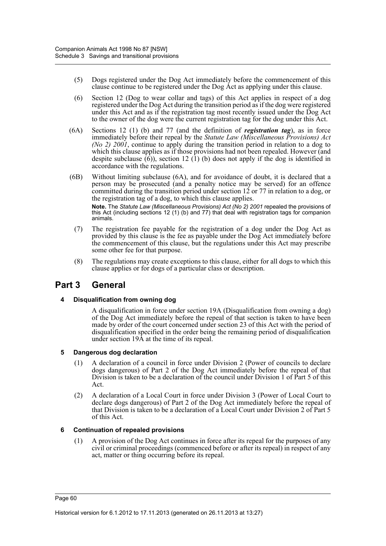- (5) Dogs registered under the Dog Act immediately before the commencement of this clause continue to be registered under the Dog Act as applying under this clause.
- (6) Section 12 (Dog to wear collar and tags) of this Act applies in respect of a dog registered under the Dog Act during the transition period as if the dog were registered under this Act and as if the registration tag most recently issued under the Dog Act to the owner of the dog were the current registration tag for the dog under this Act.
- (6A) Sections 12 (1) (b) and 77 (and the definition of *registration tag*), as in force immediately before their repeal by the *Statute Law (Miscellaneous Provisions) Act (No 2) 2001*, continue to apply during the transition period in relation to a dog to which this clause applies as if those provisions had not been repealed. However (and despite subclause  $(6)$ ), section 12  $(1)$  (b) does not apply if the dog is identified in accordance with the regulations.
- (6B) Without limiting subclause (6A), and for avoidance of doubt, it is declared that a person may be prosecuted (and a penalty notice may be served) for an offence committed during the transition period under section 12 or 77 in relation to a dog, or the registration tag of a dog, to which this clause applies. **Note.** The *Statute Law (Miscellaneous Provisions) Act (No 2) 2001* repealed the provisions of this Act (including sections 12 (1) (b) and 77) that deal with registration tags for companion animals.
	- (7) The registration fee payable for the registration of a dog under the Dog Act as provided by this clause is the fee as payable under the Dog Act immediately before the commencement of this clause, but the regulations under this Act may prescribe some other fee for that purpose.
	- (8) The regulations may create exceptions to this clause, either for all dogs to which this clause applies or for dogs of a particular class or description.

## **Part 3 General**

#### **4 Disqualification from owning dog**

A disqualification in force under section 19A (Disqualification from owning a dog) of the Dog Act immediately before the repeal of that section is taken to have been made by order of the court concerned under section 23 of this Act with the period of disqualification specified in the order being the remaining period of disqualification under section 19A at the time of its repeal.

#### **5 Dangerous dog declaration**

- (1) A declaration of a council in force under Division 2 (Power of councils to declare dogs dangerous) of Part 2 of the Dog Act immediately before the repeal of that Division is taken to be a declaration of the council under Division 1 of Part 5 of this Act.
- (2) A declaration of a Local Court in force under Division 3 (Power of Local Court to declare dogs dangerous) of Part 2 of the Dog Act immediately before the repeal of that Division is taken to be a declaration of a Local Court under Division 2 of Part 5 of this Act.

## **6 Continuation of repealed provisions**

(1) A provision of the Dog Act continues in force after its repeal for the purposes of any civil or criminal proceedings (commenced before or after its repeal) in respect of any act, matter or thing occurring before its repeal.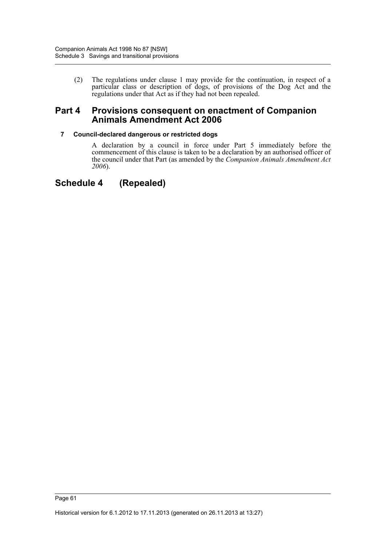(2) The regulations under clause 1 may provide for the continuation, in respect of a particular class or description of dogs, of provisions of the Dog Act and the regulations under that Act as if they had not been repealed.

## **Part 4 Provisions consequent on enactment of Companion Animals Amendment Act 2006**

### **7 Council-declared dangerous or restricted dogs**

A declaration by a council in force under Part 5 immediately before the commencement of this clause is taken to be a declaration by an authorised officer of the council under that Part (as amended by the *Companion Animals Amendment Act 2006*).

## **Schedule 4 (Repealed)**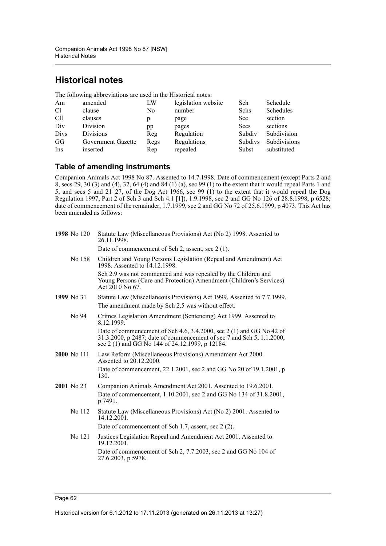# **Historical notes**

The following abbreviations are used in the Historical notes:

| Am              | amended            | LW   | legislation website | Sch            | Schedule            |
|-----------------|--------------------|------|---------------------|----------------|---------------------|
| C <sub>1</sub>  | clause             | No   | number              | Schs           | Schedules           |
| C <sub>11</sub> | clauses            | р    | page                | Sec            | section             |
| Div             | Division           | pp   | pages               | Secs           | sections            |
| Divs            | <b>Divisions</b>   | Reg  | Regulation          | Subdiv         | Subdivision         |
| GG              | Government Gazette | Regs | Regulations         | <b>Subdivs</b> | <b>Subdivisions</b> |
| Ins             | inserted           | Rep  | repealed            | Subst          | substituted         |

## **Table of amending instruments**

Companion Animals Act 1998 No 87. Assented to 14.7.1998. Date of commencement (except Parts 2 and 8, secs 29, 30 (3) and (4), 32, 64 (4) and 84 (1) (a), sec 99 (1) to the extent that it would repeal Parts 1 and 5, and secs 5 and 21–27, of the Dog Act 1966, sec 99 (1) to the extent that it would repeal the Dog Regulation 1997, Part 2 of Sch 3 and Sch 4.1 [1]), 1.9.1998, sec 2 and GG No 126 of 28.8.1998, p 6528; date of commencement of the remainder, 1.7.1999, sec 2 and GG No 72 of 25.6.1999, p 4073. This Act has been amended as follows:

| 1998 No 120 | Statute Law (Miscellaneous Provisions) Act (No 2) 1998. Assented to<br>26.11.1998.                                                                                                               |
|-------------|--------------------------------------------------------------------------------------------------------------------------------------------------------------------------------------------------|
|             | Date of commencement of Sch 2, assent, sec 2 (1).                                                                                                                                                |
| No 158      | Children and Young Persons Legislation (Repeal and Amendment) Act<br>1998. Assented to 14.12.1998.                                                                                               |
|             | Sch 2.9 was not commenced and was repealed by the Children and<br>Young Persons (Care and Protection) Amendment (Children's Services)<br>Act $2010$ No 67.                                       |
| 1999 No 31  | Statute Law (Miscellaneous Provisions) Act 1999. Assented to 7.7.1999.                                                                                                                           |
|             | The amendment made by Sch 2.5 was without effect.                                                                                                                                                |
| No 94       | Crimes Legislation Amendment (Sentencing) Act 1999. Assented to<br>8.12.1999.                                                                                                                    |
|             | Date of commencement of Sch 4.6, 3.4.2000, sec 2 (1) and GG No 42 of<br>31.3.2000, p 2487; date of commencement of sec 7 and Sch 5, 1.1.2000,<br>sec 2 (1) and GG No 144 of 24.12.1999, p 12184. |
| 2000 No 111 | Law Reform (Miscellaneous Provisions) Amendment Act 2000.<br>Assented to 20.12.2000.                                                                                                             |
|             | Date of commencement, 22.1.2001, sec 2 and GG No 20 of 19.1.2001, p<br>130.                                                                                                                      |
| 2001 No 23  | Companion Animals Amendment Act 2001. Assented to 19.6.2001.                                                                                                                                     |
|             | Date of commencement, 1.10.2001, sec 2 and GG No 134 of 31.8.2001,<br>p 7491.                                                                                                                    |
| No 112      | Statute Law (Miscellaneous Provisions) Act (No 2) 2001. Assented to<br>14.12.2001.                                                                                                               |
|             | Date of commencement of Sch 1.7, assent, sec 2 (2).                                                                                                                                              |
| No 121      | Justices Legislation Repeal and Amendment Act 2001. Assented to<br>19.12.2001.                                                                                                                   |
|             | Date of commencement of Sch 2, 7.7.2003, sec 2 and GG No 104 of<br>27.6.2003, p 5978.                                                                                                            |
|             |                                                                                                                                                                                                  |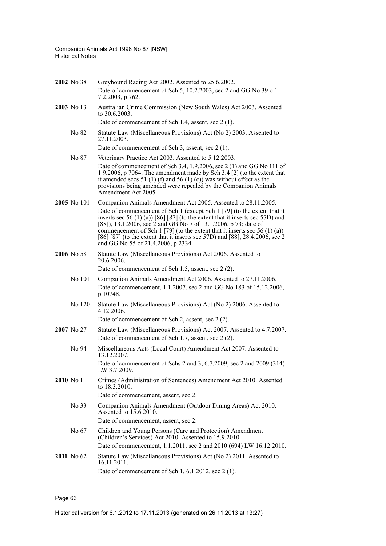|             | 2002 No 38       | Greyhound Racing Act 2002. Assented to 25.6.2002.                                                                                                                                                                                                                                                                                                                                                                                |
|-------------|------------------|----------------------------------------------------------------------------------------------------------------------------------------------------------------------------------------------------------------------------------------------------------------------------------------------------------------------------------------------------------------------------------------------------------------------------------|
|             |                  | Date of commencement of Sch 5, 10.2.2003, sec 2 and GG No 39 of<br>7.2.2003, p 762.                                                                                                                                                                                                                                                                                                                                              |
|             | 2003 No 13       | Australian Crime Commission (New South Wales) Act 2003. Assented<br>to $30.6.2003$ .                                                                                                                                                                                                                                                                                                                                             |
|             |                  | Date of commencement of Sch 1.4, assent, sec 2 (1).                                                                                                                                                                                                                                                                                                                                                                              |
|             | No 82            | Statute Law (Miscellaneous Provisions) Act (No 2) 2003. Assented to<br>27.11.2003.                                                                                                                                                                                                                                                                                                                                               |
|             |                  | Date of commencement of Sch 3, assent, sec 2 (1).                                                                                                                                                                                                                                                                                                                                                                                |
|             | No 87            | Veterinary Practice Act 2003. Assented to 5.12.2003.                                                                                                                                                                                                                                                                                                                                                                             |
|             |                  | Date of commencement of Sch 3.4, 1.9.2006, sec 2 (1) and GG No 111 of<br>1.9.2006, p 7064. The amendment made by Sch $3.4$ [2] (to the extent that<br>it amended secs 51 (1) (f) and 56 (1) (e)) was without effect as the<br>provisions being amended were repealed by the Companion Animals<br>Amendment Act 2005.                                                                                                             |
|             | 2005 No 101      | Companion Animals Amendment Act 2005. Assented to 28.11.2005.                                                                                                                                                                                                                                                                                                                                                                    |
|             |                  | Date of commencement of Sch 1 (except Sch 1 [79] (to the extent that it<br>inserts sec 56 $(1)$ (a)) [86] [87] (to the extent that it inserts sec 57D) and<br>[88]), 13.1.2006, sec 2 and GG No 7 of 13.1.2006, p 73; date of<br>commencement of Sch 1 [79] (to the extent that it inserts sec 56 (1) (a))<br>[86] [87] (to the extent that it inserts sec 57D) and [88], 28.4.2006, sec 2<br>and GG No 55 of 21.4.2006, p 2334. |
|             | 2006 No 58       | Statute Law (Miscellaneous Provisions) Act 2006. Assented to<br>20.6.2006.                                                                                                                                                                                                                                                                                                                                                       |
|             |                  | Date of commencement of Sch 1.5, assent, sec 2 (2).                                                                                                                                                                                                                                                                                                                                                                              |
|             | No 101           | Companion Animals Amendment Act 2006. Assented to 27.11.2006.<br>Date of commencement, 1.1.2007, sec 2 and GG No 183 of 15.12.2006,<br>p 10748.                                                                                                                                                                                                                                                                                  |
|             | No 120           | Statute Law (Miscellaneous Provisions) Act (No 2) 2006. Assented to<br>4.12.2006.                                                                                                                                                                                                                                                                                                                                                |
|             |                  | Date of commencement of Sch 2, assent, sec 2 (2).                                                                                                                                                                                                                                                                                                                                                                                |
|             | 2007 No 27       | Statute Law (Miscellaneous Provisions) Act 2007. Assented to 4.7.2007.<br>Date of commencement of Sch 1.7, assent, sec 2 (2).                                                                                                                                                                                                                                                                                                    |
|             | No 94            | Miscellaneous Acts (Local Court) Amendment Act 2007. Assented to<br>13.12.2007.                                                                                                                                                                                                                                                                                                                                                  |
|             |                  | Date of commencement of Schs 2 and 3, 6.7.2009, sec 2 and 2009 (314)<br>LW 3.7.2009.                                                                                                                                                                                                                                                                                                                                             |
| $2010$ No 1 |                  | Crimes (Administration of Sentences) Amendment Act 2010. Assented<br>to 18.3.2010.                                                                                                                                                                                                                                                                                                                                               |
|             |                  | Date of commencement, assent, sec 2.                                                                                                                                                                                                                                                                                                                                                                                             |
|             | No <sub>33</sub> | Companion Animals Amendment (Outdoor Dining Areas) Act 2010.<br>Assented to 15.6.2010.                                                                                                                                                                                                                                                                                                                                           |
|             |                  | Date of commencement, assent, sec 2.                                                                                                                                                                                                                                                                                                                                                                                             |
|             | No 67            | Children and Young Persons (Care and Protection) Amendment<br>(Children's Services) Act 2010. Assented to 15.9.2010.                                                                                                                                                                                                                                                                                                             |
|             |                  | Date of commencement, 1.1.2011, sec 2 and 2010 (694) LW 16.12.2010.                                                                                                                                                                                                                                                                                                                                                              |
|             | 2011 No 62       | Statute Law (Miscellaneous Provisions) Act (No 2) 2011. Assented to<br>16.11.2011.                                                                                                                                                                                                                                                                                                                                               |
|             |                  | Date of commencement of Sch 1, 6.1.2012, sec 2 (1).                                                                                                                                                                                                                                                                                                                                                                              |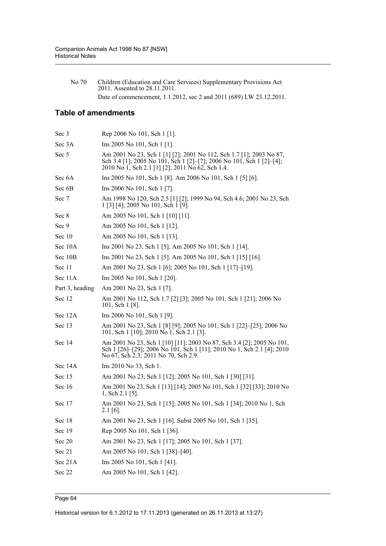No 70 Children (Education and Care Services) Supplementary Provisions Act 2011. Assented to 28.11.2011. Date of commencement, 1.1.2012, sec 2 and 2011 (689) LW 23.12.2011.

## **Table of amendments**

| Sec 3           | Rep 2006 No 101, Sch 1 [1].                                                                                                                                                                     |
|-----------------|-------------------------------------------------------------------------------------------------------------------------------------------------------------------------------------------------|
| Sec 3A          | Ins 2005 No 101, Sch 1 [1].                                                                                                                                                                     |
| Sec 5           | Am 2001 No 23, Sch 1 [1] [2]; 2001 No 112, Sch 1.7 [1]; 2003 No 87,<br>Sch 3.4 [1]; 2005 No 101, Sch 1 [2]-[7]; 2006 No 101, Sch 1 [2]-[4];<br>2010 No 1, Sch 2.1 [1] [2]; 2011 No 62, Sch 1.4. |
| Sec 6A          | Ins 2005 No 101, Sch 1 [8]. Am 2006 No 101, Sch 1 [5] [6].                                                                                                                                      |
| Sec 6B          | Ins 2006 No 101, Sch 1 [7].                                                                                                                                                                     |
| Sec 7           | Am 1998 No 120, Sch 2.5 [1] [2]; 1999 No 94, Sch 4.6; 2001 No 23, Sch<br>1 [3] [4]; 2005 No 101, Sch 1 [9].                                                                                     |
| Sec 8           | Am 2005 No 101, Sch 1 [10] [11].                                                                                                                                                                |
| Sec 9           | Am 2005 No 101, Sch 1 [12].                                                                                                                                                                     |
| Sec 10          | Am 2005 No 101, Sch 1 [13].                                                                                                                                                                     |
| Sec 10A         | Ins 2001 No 23, Sch 1 [5]. Am 2005 No 101, Sch 1 [14].                                                                                                                                          |
| Sec 10B         | Ins 2001 No 23, Sch 1 [5]. Am 2005 No 101, Sch 1 [15] [16].                                                                                                                                     |
| Sec 11          | Am 2001 No 23, Sch 1 [6]; 2005 No 101, Sch 1 [17]-[19].                                                                                                                                         |
| Sec 11A         | Ins 2005 No 101, Sch 1 [20].                                                                                                                                                                    |
| Part 3, heading | Am 2001 No 23, Sch 1 [7].                                                                                                                                                                       |
| Sec 12          | Am 2001 No 112, Sch 1.7 [2] [3]; 2005 No 101, Sch 1 [21]; 2006 No<br>101, Sch 1 [8].                                                                                                            |
| Sec 12A         | Ins 2006 No 101, Sch 1 [9].                                                                                                                                                                     |
| Sec 13          | Am 2001 No 23, Sch 1 [8] [9]; 2005 No 101, Sch 1 [22]-[25]; 2006 No<br>101, Sch 1 [10]; 2010 No 1, Sch 2.1 [3].                                                                                 |
| Sec 14          | Am 2001 No 23, Sch 1 [10] [11]; 2003 No 87, Sch 3.4 [2]; 2005 No 101,<br>Sch 1 [26]-[29]; 2006 No 101, Sch 1 [11]; 2010 No 1, Sch 2.1 [4]; 2010<br>No 67, Sch 2.3; 2011 No 70, Sch 2.9.         |
| Sec 14A         | Ins 2010 No 33, Sch 1.                                                                                                                                                                          |
| Sec 15          | Am 2001 No 23, Sch 1 [12]; 2005 No 101, Sch 1 [30] [31].                                                                                                                                        |
| Sec 16          | Am 2001 No 23, Sch 1 [13] [14]; 2005 No 101, Sch 1 [32] [33]; 2010 No<br>1, Sch $2.1$ [5].                                                                                                      |
| Sec 17          | Am 2001 No 23, Sch 1 [15]; 2005 No 101, Sch 1 [34]; 2010 No 1, Sch<br>$2.1$ [6].                                                                                                                |
| Sec 18          | Am 2001 No 23, Sch 1 [16]. Subst 2005 No 101, Sch 1 [35].                                                                                                                                       |
| Sec 19          | Rep 2005 No 101, Sch 1 [36].                                                                                                                                                                    |
| Sec 20          | Am 2001 No 23, Sch 1 [17]; 2005 No 101, Sch 1 [37].                                                                                                                                             |
| Sec 21          | Am 2005 No 101, Sch 1 [38]-[40].                                                                                                                                                                |
| Sec 21A         | Ins 2005 No 101, Sch 1 [41].                                                                                                                                                                    |
| Sec 22          | Am 2005 No 101, Sch 1 [42].                                                                                                                                                                     |
|                 |                                                                                                                                                                                                 |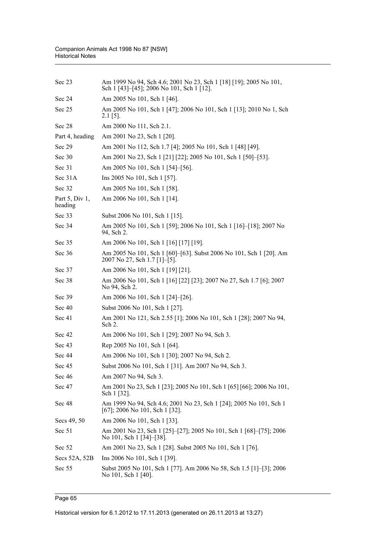| Sec 23                    | Am 1999 No 94, Sch 4.6; 2001 No 23, Sch 1 [18] [19]; 2005 No 101,<br>Sch 1 [43]–[45]; 2006 No 101, Sch 1 [12]. |
|---------------------------|----------------------------------------------------------------------------------------------------------------|
| Sec 24                    | Am 2005 No 101, Sch 1 [46].                                                                                    |
| Sec 25                    | Am 2005 No 101, Sch 1 [47]; 2006 No 101, Sch 1 [13]; 2010 No 1, Sch<br>$2.1$ [5].                              |
| Sec 28                    | Am 2000 No 111, Sch 2.1.                                                                                       |
| Part 4, heading           | Am 2001 No 23, Sch 1 [20].                                                                                     |
| Sec 29                    | Am 2001 No 112, Sch 1.7 [4]; 2005 No 101, Sch 1 [48] [49].                                                     |
| Sec 30                    | Am 2001 No 23, Sch 1 [21] [22]; 2005 No 101, Sch 1 [50]-[53].                                                  |
| Sec 31                    | Am 2005 No 101, Sch 1 [54]–[56].                                                                               |
| Sec 31A                   | Ins 2005 No 101, Sch 1 [57].                                                                                   |
| Sec 32                    | Am 2005 No 101, Sch 1 [58].                                                                                    |
| Part 5, Div 1,<br>heading | Am 2006 No 101, Sch 1 [14].                                                                                    |
| Sec 33                    | Subst 2006 No 101, Sch 1 [15].                                                                                 |
| Sec 34                    | Am 2005 No 101, Sch 1 [59]; 2006 No 101, Sch 1 [16]–[18]; 2007 No<br>94, Sch 2.                                |
| Sec 35                    | Am 2006 No 101, Sch 1 [16] [17] [19].                                                                          |
| Sec 36                    | Am 2005 No 101, Sch 1 [60]-[63]. Subst 2006 No 101, Sch 1 [20]. Am<br>2007 No 27, Sch 1.7 [1]-[5].             |
| Sec 37                    | Am 2006 No 101, Sch 1 [19] [21].                                                                               |
| Sec 38                    | Am 2006 No 101, Sch 1 [16] [22] [23]; 2007 No 27, Sch 1.7 [6]; 2007<br>No 94, Sch 2.                           |
| Sec 39                    | Am 2006 No 101, Sch 1 [24]–[26].                                                                               |
| Sec 40                    | Subst 2006 No 101, Sch 1 [27].                                                                                 |
| Sec 41                    | Am 2001 No 121, Sch 2.55 [1]; 2006 No 101, Sch 1 [28]; 2007 No 94,<br>Sch 2.                                   |
| Sec 42                    | Am 2006 No 101, Sch 1 [29]; 2007 No 94, Sch 3.                                                                 |
| Sec 43                    | Rep 2005 No 101, Sch 1 [64].                                                                                   |
| Sec 44                    | Am 2006 No 101, Sch 1 [30]; 2007 No 94, Sch 2.                                                                 |
| Sec 45                    | Subst 2006 No 101, Sch 1 [31]. Am 2007 No 94, Sch 3.                                                           |
| Sec 46                    | Am 2007 No 94, Sch 3.                                                                                          |
| Sec 47                    | Am 2001 No 23, Sch 1 [23]; 2005 No 101, Sch 1 [65] [66]; 2006 No 101,<br>Sch 1 [32].                           |
| Sec 48                    | Am 1999 No 94, Sch 4.6; 2001 No 23, Sch 1 [24]; 2005 No 101, Sch 1<br>[67]; 2006 No 101, Sch 1 [32].           |
| Secs 49, 50               | Am 2006 No 101, Sch 1 [33].                                                                                    |
| Sec 51                    | Am 2001 No 23, Sch 1 [25]–[27]; 2005 No 101, Sch 1 [68]–[75]; 2006<br>No 101, Sch 1 [34]–[38].                 |
| Sec 52                    | Am 2001 No 23, Sch 1 [28]. Subst 2005 No 101, Sch 1 [76].                                                      |
| Secs 52A, 52B             | Ins 2006 No 101, Sch 1 [39].                                                                                   |
| Sec 55                    | Subst 2005 No 101, Sch 1 [77]. Am 2006 No 58, Sch 1.5 [1]–[3]; 2006<br>No 101, Sch 1 [40].                     |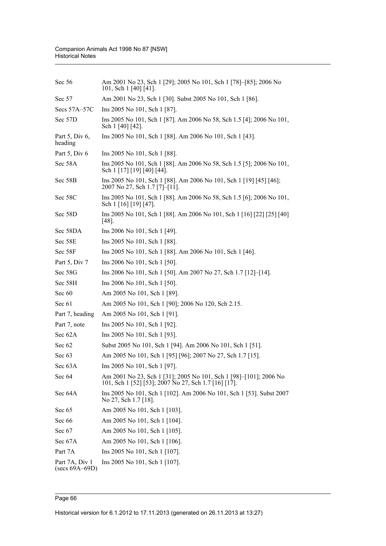| Sec 56                                    | Am 2001 No 23, Sch 1 [29]; 2005 No 101, Sch 1 [78]–[85]; 2006 No<br>101, Sch 1 [40] [41].                                 |
|-------------------------------------------|---------------------------------------------------------------------------------------------------------------------------|
| Sec 57                                    | Am 2001 No 23, Sch 1 [30]. Subst 2005 No 101, Sch 1 [86].                                                                 |
| Secs 57A-57C                              | Ins 2005 No 101, Sch 1 [87].                                                                                              |
| Sec 57D                                   | Ins 2005 No 101, Sch 1 [87]. Am 2006 No 58, Sch 1.5 [4]; 2006 No 101,<br>Sch 1 [40] [42].                                 |
| Part $5$ , Div $6$ ,<br>heading           | Ins 2005 No 101, Sch 1 [88]. Am 2006 No 101, Sch 1 [43].                                                                  |
| Part 5, Div 6                             | Ins 2005 No 101, Sch 1 [88].                                                                                              |
| Sec 58A                                   | Ins 2005 No 101, Sch 1 [88]. Am 2006 No 58, Sch 1.5 [5]; 2006 No 101,<br>Sch 1 [17] [19] [40] [44].                       |
| Sec 58B                                   | Ins 2005 No 101, Sch 1 [88]. Am 2006 No 101, Sch 1 [19] [45] [46];<br>2007 No 27, Sch 1.7 [7]-[11].                       |
| Sec 58C                                   | Ins 2005 No 101, Sch 1 [88]. Am 2006 No 58, Sch 1.5 [6]; 2006 No 101,<br>Sch 1 [16] [19] [47].                            |
| Sec 58D                                   | Ins 2005 No 101, Sch 1 [88]. Am 2006 No 101, Sch 1 [16] [22] [25] [40]<br>$[48]$ .                                        |
| Sec 58DA                                  | Ins 2006 No 101, Sch 1 [49].                                                                                              |
| Sec 58E                                   | Ins 2005 No 101, Sch 1 [88].                                                                                              |
| Sec 58F                                   | Ins 2005 No 101, Sch 1 [88]. Am 2006 No 101, Sch 1 [46].                                                                  |
| Part 5, Div 7                             | Ins 2006 No 101, Sch 1 [50].                                                                                              |
| Sec 58G                                   | Ins 2006 No 101, Sch 1 [50]. Am 2007 No 27, Sch 1.7 [12]–[14].                                                            |
| Sec 58H                                   | Ins 2006 No 101, Sch 1 [50].                                                                                              |
| Sec 60                                    | Am 2005 No 101, Sch 1 [89].                                                                                               |
| Sec 61                                    | Am 2005 No 101, Sch 1 [90]; 2006 No 120, Sch 2.15.                                                                        |
| Part 7, heading                           | Am 2005 No 101, Sch 1 [91].                                                                                               |
| Part 7, note                              | Ins 2005 No 101, Sch 1 [92].                                                                                              |
| Sec 62A                                   | Ins 2005 No 101, Sch 1 [93].                                                                                              |
| Sec 62                                    | Subst 2005 No 101, Sch 1 [94]. Am 2006 No 101, Sch 1 [51].                                                                |
| Sec 63                                    | Am 2005 No 101, Sch 1 [95] [96]; 2007 No 27, Sch 1.7 [15].                                                                |
| Sec 63A                                   | Ins 2005 No 101, Sch 1 [97].                                                                                              |
| Sec 64                                    | Am 2001 No 23, Sch 1 [31]; 2005 No 101, Sch 1 [98]–[101]; 2006 No<br>101, Sch 1 [52] [53]; 2007 No 27, Sch 1.7 [16] [17]. |
| Sec 64A                                   | Ins 2005 No 101, Sch 1 [102]. Am 2006 No 101, Sch 1 [53]. Subst 2007<br>No 27, Sch 1.7 [18].                              |
| Sec 65                                    | Am 2005 No 101, Sch 1 [103].                                                                                              |
| Sec 66                                    | Am 2005 No 101, Sch 1 [104].                                                                                              |
| Sec 67                                    | Am 2005 No 101, Sch 1 [105].                                                                                              |
| Sec 67A                                   | Am 2005 No 101, Sch 1 [106].                                                                                              |
| Part 7A                                   | Ins 2005 No 101, Sch 1 [107].                                                                                             |
| Part 7A, Div 1<br>$(\text{secs }69A-69D)$ | Ins 2005 No 101, Sch 1 [107].                                                                                             |